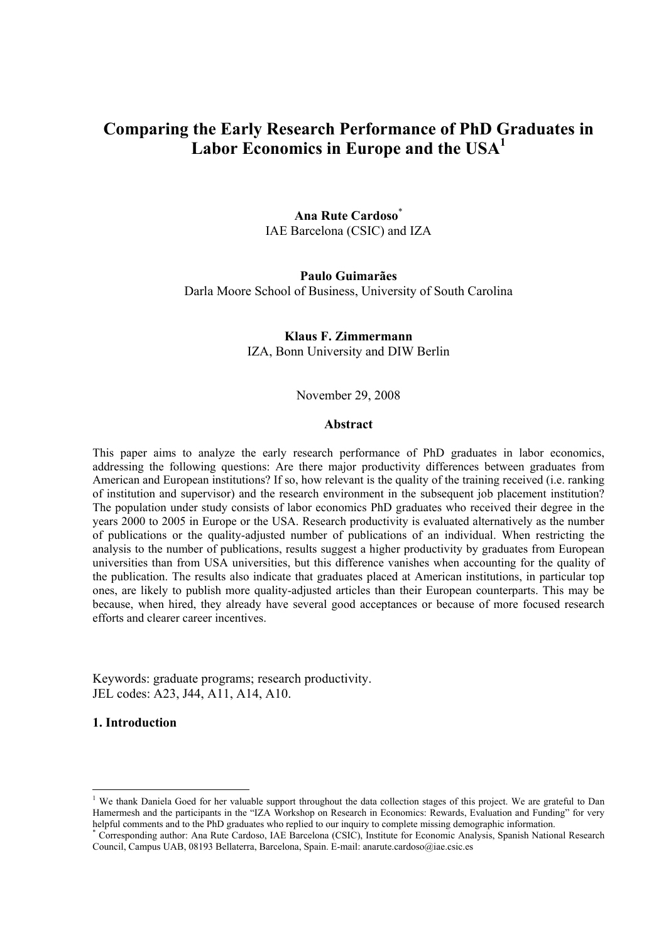# **Comparing the Early Research Performance of PhD Graduates in Labor Economics in Europe and the USA1**

## **Ana Rute Cardoso**\* IAE Barcelona (CSIC) and IZA

**Paulo Guimarães**  Darla Moore School of Business, University of South Carolina

## **Klaus F. Zimmermann**  IZA, Bonn University and DIW Berlin

November 29, 2008

#### **Abstract**

This paper aims to analyze the early research performance of PhD graduates in labor economics, addressing the following questions: Are there major productivity differences between graduates from American and European institutions? If so, how relevant is the quality of the training received (i.e. ranking of institution and supervisor) and the research environment in the subsequent job placement institution? The population under study consists of labor economics PhD graduates who received their degree in the years 2000 to 2005 in Europe or the USA. Research productivity is evaluated alternatively as the number of publications or the quality-adjusted number of publications of an individual. When restricting the analysis to the number of publications, results suggest a higher productivity by graduates from European universities than from USA universities, but this difference vanishes when accounting for the quality of the publication. The results also indicate that graduates placed at American institutions, in particular top ones, are likely to publish more quality-adjusted articles than their European counterparts. This may be because, when hired, they already have several good acceptances or because of more focused research efforts and clearer career incentives.

Keywords: graduate programs; research productivity. JEL codes: A23, J44, A11, A14, A10.

#### **1. Introduction**

<sup>&</sup>lt;sup>1</sup> We thank Daniela Goed for her valuable support throughout the data collection stages of this project. We are grateful to Dan Hamermesh and the participants in the "IZA Workshop on Research in Economics: Rewards, Evaluation and Funding" for very helpful comments and to the PhD graduates who replied to our inquiry to complete missing demographic information.

Corresponding author: Ana Rute Cardoso, IAE Barcelona (CSIC), Institute for Economic Analysis, Spanish National Research Council, Campus UAB, 08193 Bellaterra, Barcelona, Spain. E-mail: anarute.cardoso@iae.csic.es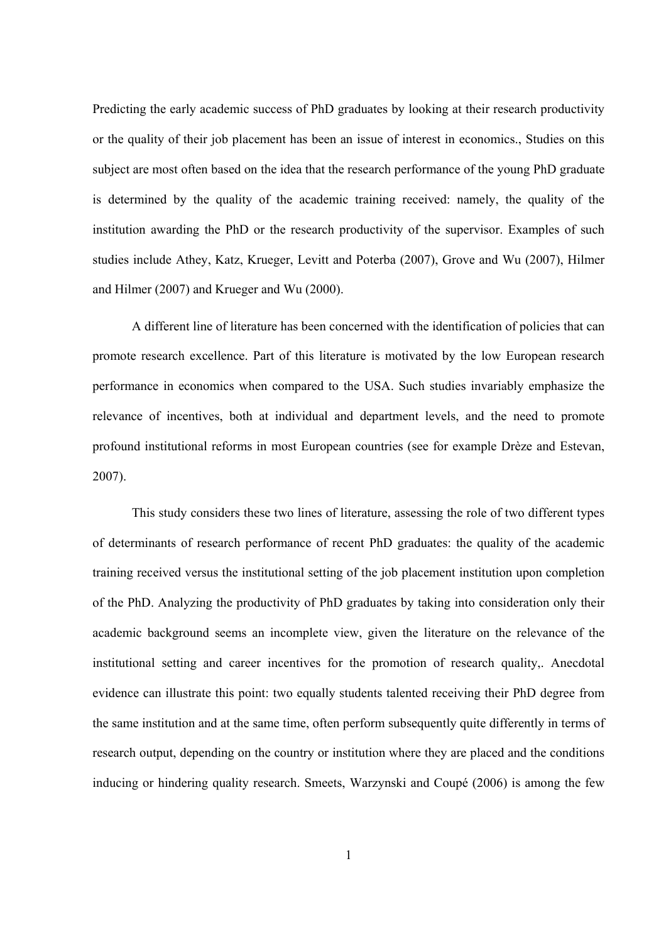Predicting the early academic success of PhD graduates by looking at their research productivity or the quality of their job placement has been an issue of interest in economics., Studies on this subject are most often based on the idea that the research performance of the young PhD graduate is determined by the quality of the academic training received: namely, the quality of the institution awarding the PhD or the research productivity of the supervisor. Examples of such studies include Athey, Katz, Krueger, Levitt and Poterba (2007), Grove and Wu (2007), Hilmer and Hilmer (2007) and Krueger and Wu (2000).

 A different line of literature has been concerned with the identification of policies that can promote research excellence. Part of this literature is motivated by the low European research performance in economics when compared to the USA. Such studies invariably emphasize the relevance of incentives, both at individual and department levels, and the need to promote profound institutional reforms in most European countries (see for example Drèze and Estevan, 2007).

 This study considers these two lines of literature, assessing the role of two different types of determinants of research performance of recent PhD graduates: the quality of the academic training received versus the institutional setting of the job placement institution upon completion of the PhD. Analyzing the productivity of PhD graduates by taking into consideration only their academic background seems an incomplete view, given the literature on the relevance of the institutional setting and career incentives for the promotion of research quality,. Anecdotal evidence can illustrate this point: two equally students talented receiving their PhD degree from the same institution and at the same time, often perform subsequently quite differently in terms of research output, depending on the country or institution where they are placed and the conditions inducing or hindering quality research. Smeets, Warzynski and Coupé (2006) is among the few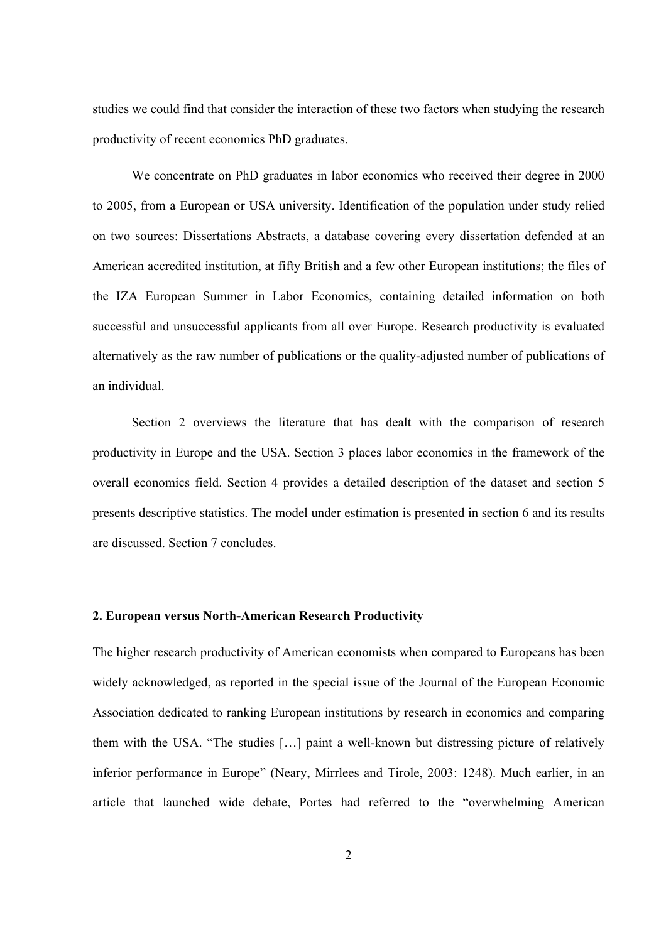studies we could find that consider the interaction of these two factors when studying the research productivity of recent economics PhD graduates.

 We concentrate on PhD graduates in labor economics who received their degree in 2000 to 2005, from a European or USA university. Identification of the population under study relied on two sources: Dissertations Abstracts, a database covering every dissertation defended at an American accredited institution, at fifty British and a few other European institutions; the files of the IZA European Summer in Labor Economics, containing detailed information on both successful and unsuccessful applicants from all over Europe. Research productivity is evaluated alternatively as the raw number of publications or the quality-adjusted number of publications of an individual.

 Section 2 overviews the literature that has dealt with the comparison of research productivity in Europe and the USA. Section 3 places labor economics in the framework of the overall economics field. Section 4 provides a detailed description of the dataset and section 5 presents descriptive statistics. The model under estimation is presented in section 6 and its results are discussed. Section 7 concludes.

#### **2. European versus North-American Research Productivity**

The higher research productivity of American economists when compared to Europeans has been widely acknowledged, as reported in the special issue of the Journal of the European Economic Association dedicated to ranking European institutions by research in economics and comparing them with the USA. "The studies […] paint a well-known but distressing picture of relatively inferior performance in Europe" (Neary, Mirrlees and Tirole, 2003: 1248). Much earlier, in an article that launched wide debate, Portes had referred to the "overwhelming American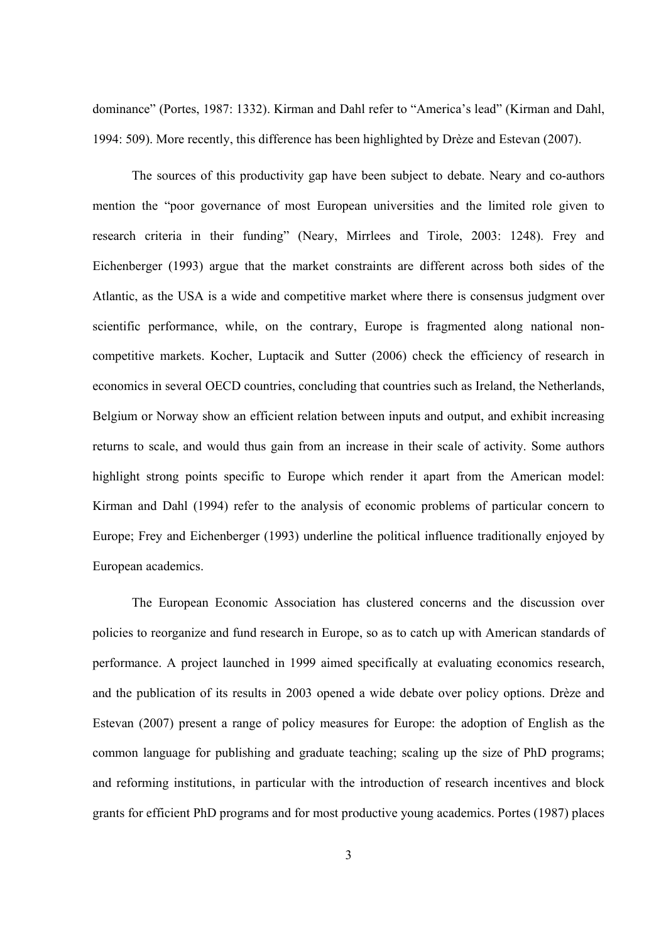dominance" (Portes, 1987: 1332). Kirman and Dahl refer to "America's lead" (Kirman and Dahl, 1994: 509). More recently, this difference has been highlighted by Drèze and Estevan (2007).

 The sources of this productivity gap have been subject to debate. Neary and co-authors mention the "poor governance of most European universities and the limited role given to research criteria in their funding" (Neary, Mirrlees and Tirole, 2003: 1248). Frey and Eichenberger (1993) argue that the market constraints are different across both sides of the Atlantic, as the USA is a wide and competitive market where there is consensus judgment over scientific performance, while, on the contrary, Europe is fragmented along national noncompetitive markets. Kocher, Luptacik and Sutter (2006) check the efficiency of research in economics in several OECD countries, concluding that countries such as Ireland, the Netherlands, Belgium or Norway show an efficient relation between inputs and output, and exhibit increasing returns to scale, and would thus gain from an increase in their scale of activity. Some authors highlight strong points specific to Europe which render it apart from the American model: Kirman and Dahl (1994) refer to the analysis of economic problems of particular concern to Europe; Frey and Eichenberger (1993) underline the political influence traditionally enjoyed by European academics.

 The European Economic Association has clustered concerns and the discussion over policies to reorganize and fund research in Europe, so as to catch up with American standards of performance. A project launched in 1999 aimed specifically at evaluating economics research, and the publication of its results in 2003 opened a wide debate over policy options. Drèze and Estevan (2007) present a range of policy measures for Europe: the adoption of English as the common language for publishing and graduate teaching; scaling up the size of PhD programs; and reforming institutions, in particular with the introduction of research incentives and block grants for efficient PhD programs and for most productive young academics. Portes (1987) places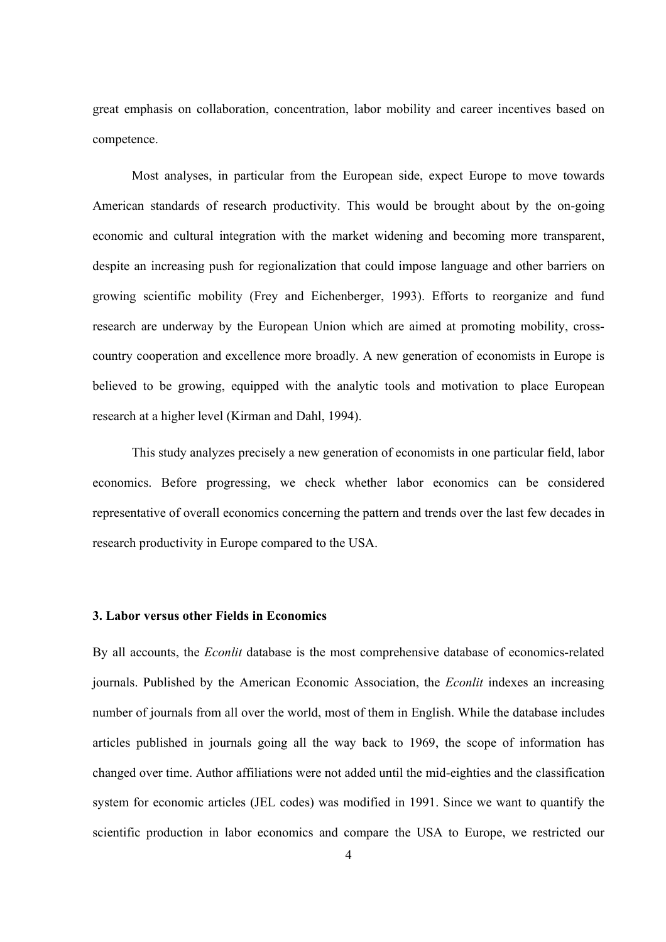great emphasis on collaboration, concentration, labor mobility and career incentives based on competence.

 Most analyses, in particular from the European side, expect Europe to move towards American standards of research productivity. This would be brought about by the on-going economic and cultural integration with the market widening and becoming more transparent, despite an increasing push for regionalization that could impose language and other barriers on growing scientific mobility (Frey and Eichenberger, 1993). Efforts to reorganize and fund research are underway by the European Union which are aimed at promoting mobility, crosscountry cooperation and excellence more broadly. A new generation of economists in Europe is believed to be growing, equipped with the analytic tools and motivation to place European research at a higher level (Kirman and Dahl, 1994).

 This study analyzes precisely a new generation of economists in one particular field, labor economics. Before progressing, we check whether labor economics can be considered representative of overall economics concerning the pattern and trends over the last few decades in research productivity in Europe compared to the USA.

#### **3. Labor versus other Fields in Economics**

By all accounts, the *Econlit* database is the most comprehensive database of economics-related journals. Published by the American Economic Association, the *Econlit* indexes an increasing number of journals from all over the world, most of them in English. While the database includes articles published in journals going all the way back to 1969, the scope of information has changed over time. Author affiliations were not added until the mid-eighties and the classification system for economic articles (JEL codes) was modified in 1991. Since we want to quantify the scientific production in labor economics and compare the USA to Europe, we restricted our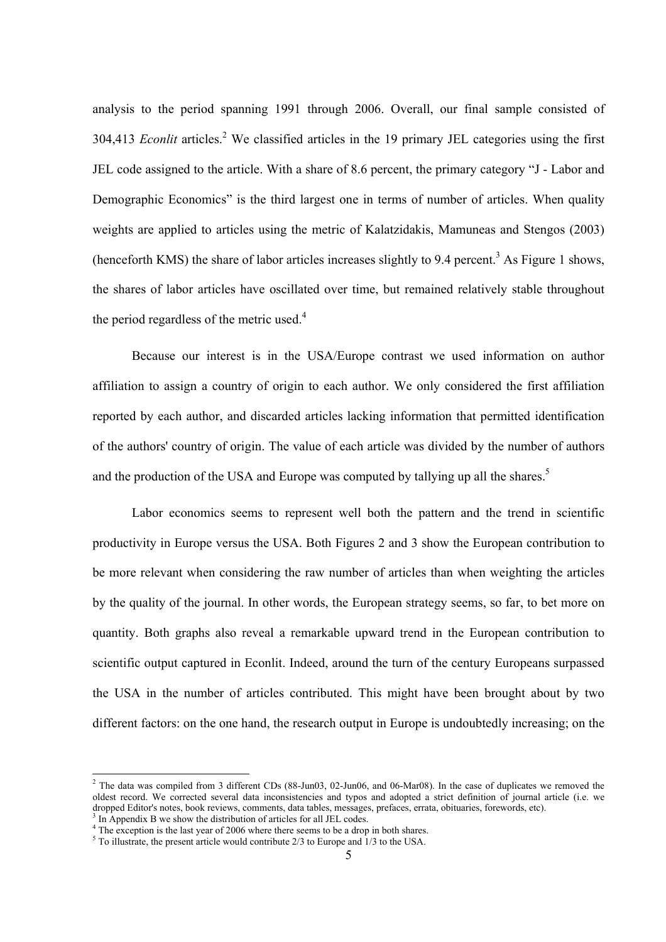analysis to the period spanning 1991 through 2006. Overall, our final sample consisted of 304,413 *Econlit* articles.<sup>2</sup> We classified articles in the 19 primary JEL categories using the first JEL code assigned to the article. With a share of 8.6 percent, the primary category "J - Labor and Demographic Economics" is the third largest one in terms of number of articles. When quality weights are applied to articles using the metric of Kalatzidakis, Mamuneas and Stengos (2003) (henceforth KMS) the share of labor articles increases slightly to 9.4 percent.<sup>3</sup> As Figure 1 shows, the shares of labor articles have oscillated over time, but remained relatively stable throughout the period regardless of the metric used. $4$ 

 Because our interest is in the USA/Europe contrast we used information on author affiliation to assign a country of origin to each author. We only considered the first affiliation reported by each author, and discarded articles lacking information that permitted identification of the authors' country of origin. The value of each article was divided by the number of authors and the production of the USA and Europe was computed by tallying up all the shares.<sup>5</sup>

 Labor economics seems to represent well both the pattern and the trend in scientific productivity in Europe versus the USA. Both Figures 2 and 3 show the European contribution to be more relevant when considering the raw number of articles than when weighting the articles by the quality of the journal. In other words, the European strategy seems, so far, to bet more on quantity. Both graphs also reveal a remarkable upward trend in the European contribution to scientific output captured in Econlit. Indeed, around the turn of the century Europeans surpassed the USA in the number of articles contributed. This might have been brought about by two different factors: on the one hand, the research output in Europe is undoubtedly increasing; on the

<sup>&</sup>lt;sup>2</sup> The data was compiled from 3 different CDs (88-Jun03, 02-Jun06, and 06-Mar08). In the case of duplicates we removed the oldest record. We corrected several data inconsistencies and typos and adopted a strict definition of journal article (i.e. we dropped Editor's notes, book reviews, comments, data tables, messages, prefaces, errata, obituaries, forewords, etc).

 $^3$  In Appendix B we show the distribution of articles for all JEL codes.

 $<sup>4</sup>$  The exception is the last year of 2006 where there seems to be a drop in both shares.</sup>

 $\frac{5}{10}$  To illustrate, the present article would contribute 2/3 to Europe and  $\frac{1}{3}$  to the USA.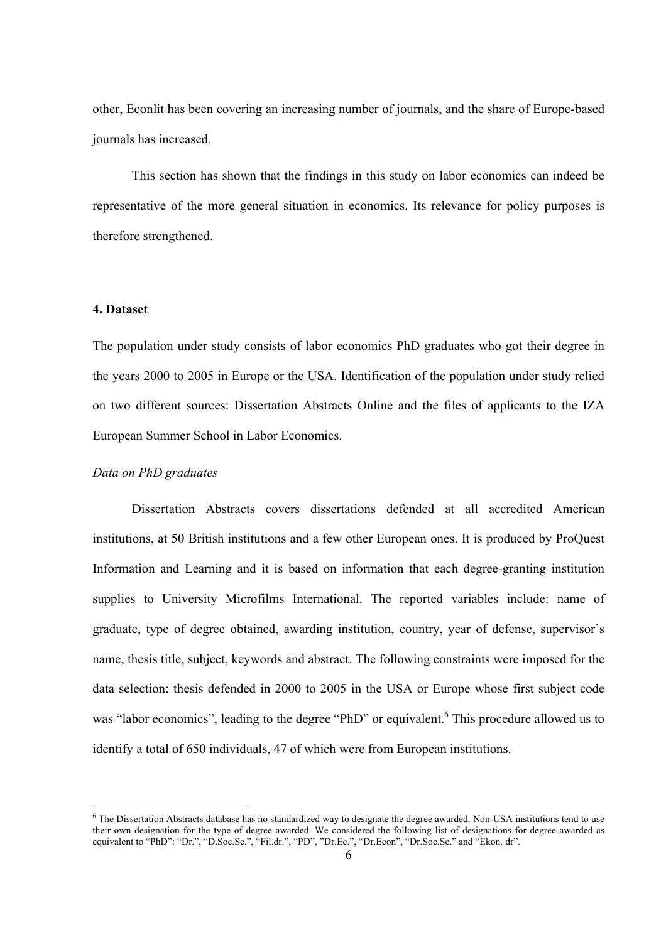other, Econlit has been covering an increasing number of journals, and the share of Europe-based journals has increased.

 This section has shown that the findings in this study on labor economics can indeed be representative of the more general situation in economics. Its relevance for policy purposes is therefore strengthened.

### **4. Dataset**

l

The population under study consists of labor economics PhD graduates who got their degree in the years 2000 to 2005 in Europe or the USA. Identification of the population under study relied on two different sources: Dissertation Abstracts Online and the files of applicants to the IZA European Summer School in Labor Economics.

## *Data on PhD graduates*

 Dissertation Abstracts covers dissertations defended at all accredited American institutions, at 50 British institutions and a few other European ones. It is produced by ProQuest Information and Learning and it is based on information that each degree-granting institution supplies to University Microfilms International. The reported variables include: name of graduate, type of degree obtained, awarding institution, country, year of defense, supervisor's name, thesis title, subject, keywords and abstract. The following constraints were imposed for the data selection: thesis defended in 2000 to 2005 in the USA or Europe whose first subject code was "labor economics", leading to the degree "PhD" or equivalent.<sup>6</sup> This procedure allowed us to identify a total of 650 individuals, 47 of which were from European institutions.

<sup>&</sup>lt;sup>6</sup> The Dissertation Abstracts database has no standardized way to designate the degree awarded. Non-USA institutions tend to use their own designation for the type of degree awarded. We considered the following list of designations for degree awarded as equivalent to "PhD": "Dr.", "D.Soc.Sc.", "Fil.dr.", "PD", "Dr.Ec.", "Dr.Econ", "Dr.Soc.Sc." and "Ekon. dr".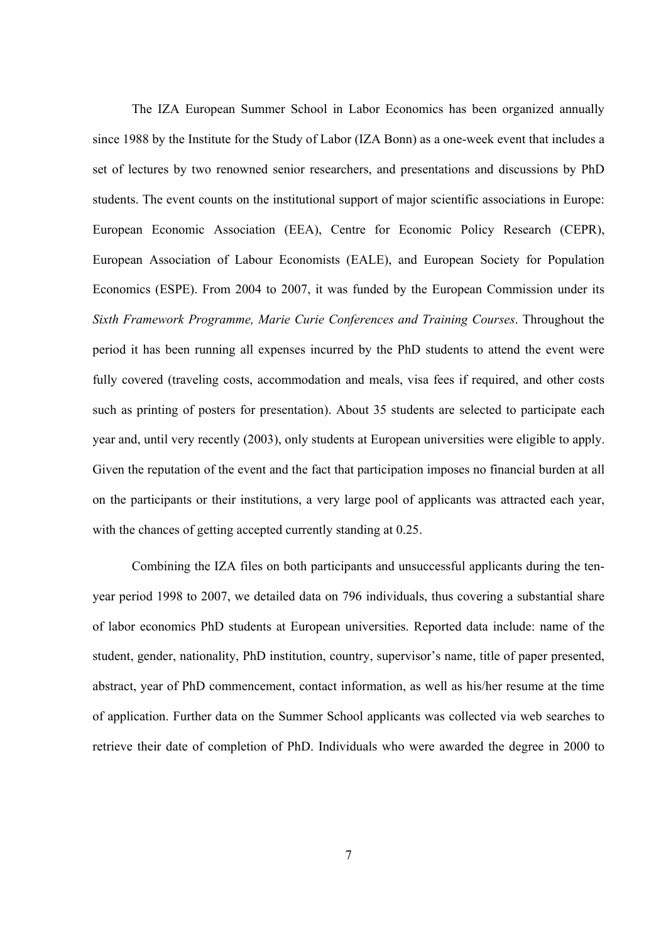The IZA European Summer School in Labor Economics has been organized annually since 1988 by the Institute for the Study of Labor (IZA Bonn) as a one-week event that includes a set of lectures by two renowned senior researchers, and presentations and discussions by PhD students. The event counts on the institutional support of major scientific associations in Europe: European Economic Association (EEA), Centre for Economic Policy Research (CEPR), European Association of Labour Economists (EALE), and European Society for Population Economics (ESPE). From 2004 to 2007, it was funded by the European Commission under its *Sixth Framework Programme, Marie Curie Conferences and Training Courses*. Throughout the period it has been running all expenses incurred by the PhD students to attend the event were fully covered (traveling costs, accommodation and meals, visa fees if required, and other costs such as printing of posters for presentation). About 35 students are selected to participate each year and, until very recently (2003), only students at European universities were eligible to apply. Given the reputation of the event and the fact that participation imposes no financial burden at all on the participants or their institutions, a very large pool of applicants was attracted each year, with the chances of getting accepted currently standing at 0.25.

 Combining the IZA files on both participants and unsuccessful applicants during the tenyear period 1998 to 2007, we detailed data on 796 individuals, thus covering a substantial share of labor economics PhD students at European universities. Reported data include: name of the student, gender, nationality, PhD institution, country, supervisor's name, title of paper presented, abstract, year of PhD commencement, contact information, as well as his/her resume at the time of application. Further data on the Summer School applicants was collected via web searches to retrieve their date of completion of PhD. Individuals who were awarded the degree in 2000 to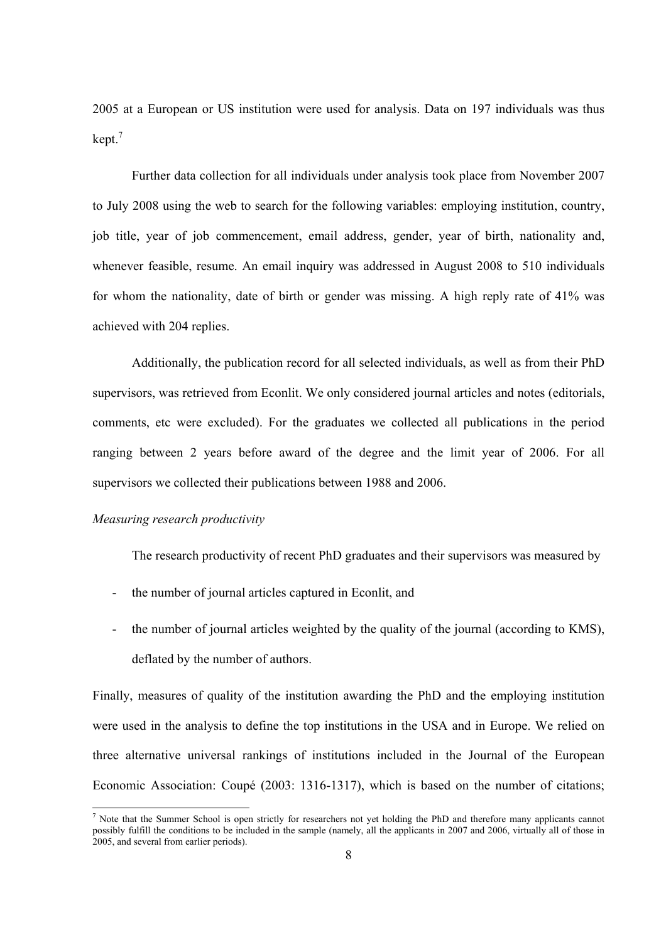2005 at a European or US institution were used for analysis. Data on 197 individuals was thus kept.<sup>7</sup>

 Further data collection for all individuals under analysis took place from November 2007 to July 2008 using the web to search for the following variables: employing institution, country, job title, year of job commencement, email address, gender, year of birth, nationality and, whenever feasible, resume. An email inquiry was addressed in August 2008 to 510 individuals for whom the nationality, date of birth or gender was missing. A high reply rate of 41% was achieved with 204 replies.

 Additionally, the publication record for all selected individuals, as well as from their PhD supervisors, was retrieved from Econlit. We only considered journal articles and notes (editorials, comments, etc were excluded). For the graduates we collected all publications in the period ranging between 2 years before award of the degree and the limit year of 2006. For all supervisors we collected their publications between 1988 and 2006.

## *Measuring research productivity*

l

The research productivity of recent PhD graduates and their supervisors was measured by

- the number of journal articles captured in Econlit, and
- the number of journal articles weighted by the quality of the journal (according to KMS), deflated by the number of authors.

Finally, measures of quality of the institution awarding the PhD and the employing institution were used in the analysis to define the top institutions in the USA and in Europe. We relied on three alternative universal rankings of institutions included in the Journal of the European Economic Association: Coupé (2003: 1316-1317), which is based on the number of citations;

<sup>&</sup>lt;sup>7</sup> Note that the Summer School is open strictly for researchers not yet holding the PhD and therefore many applicants cannot possibly fulfill the conditions to be included in the sample (namely, all the applicants in 2007 and 2006, virtually all of those in 2005, and several from earlier periods).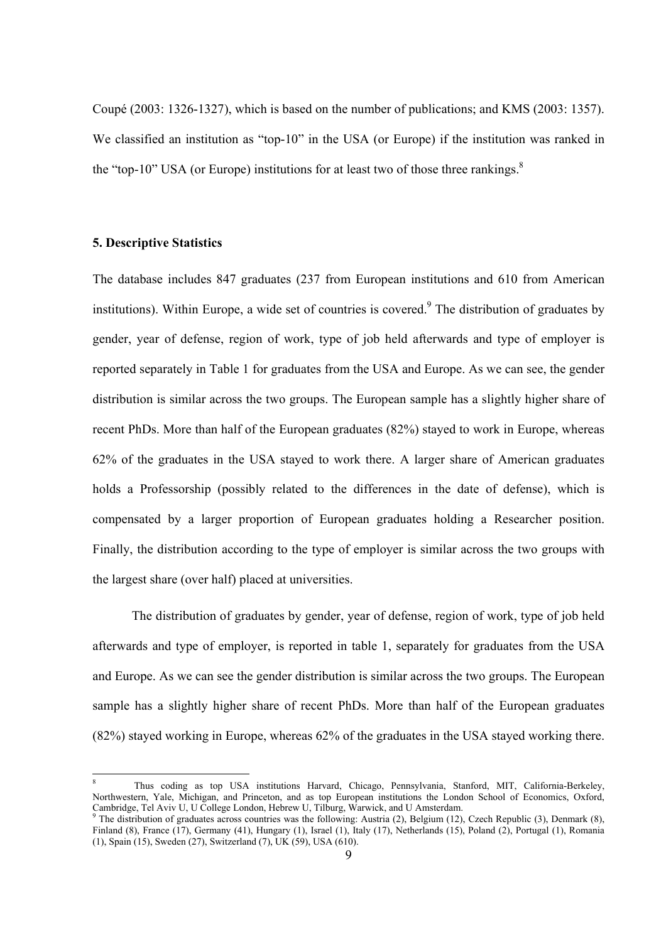Coupé (2003: 1326-1327), which is based on the number of publications; and KMS (2003: 1357). We classified an institution as "top-10" in the USA (or Europe) if the institution was ranked in the "top-10" USA (or Europe) institutions for at least two of those three rankings. $8$ 

#### **5. Descriptive Statistics**

The database includes 847 graduates (237 from European institutions and 610 from American institutions). Within Europe, a wide set of countries is covered.<sup>9</sup> The distribution of graduates by gender, year of defense, region of work, type of job held afterwards and type of employer is reported separately in Table 1 for graduates from the USA and Europe. As we can see, the gender distribution is similar across the two groups. The European sample has a slightly higher share of recent PhDs. More than half of the European graduates (82%) stayed to work in Europe, whereas 62% of the graduates in the USA stayed to work there. A larger share of American graduates holds a Professorship (possibly related to the differences in the date of defense), which is compensated by a larger proportion of European graduates holding a Researcher position. Finally, the distribution according to the type of employer is similar across the two groups with the largest share (over half) placed at universities.

 The distribution of graduates by gender, year of defense, region of work, type of job held afterwards and type of employer, is reported in table 1, separately for graduates from the USA and Europe. As we can see the gender distribution is similar across the two groups. The European sample has a slightly higher share of recent PhDs. More than half of the European graduates (82%) stayed working in Europe, whereas 62% of the graduates in the USA stayed working there.

<sup>8</sup> Thus coding as top USA institutions Harvard, Chicago, Pennsylvania, Stanford, MIT, California-Berkeley, Northwestern, Yale, Michigan, and Princeton, and as top European institutions the London School of Economics, Oxford, Cambridge, Tel Aviv U, U College London, Hebrew U, Tilburg, Warwick, and U Amsterdam. 9

<sup>&</sup>lt;sup>9</sup> The distribution of graduates across countries was the following: Austria (2), Belgium (12), Czech Republic (3), Denmark (8), Finland (8), France (17), Germany (41), Hungary (1), Israel (1), Italy (17), Netherlands (15), Poland (2), Portugal (1), Romania (1), Spain (15), Sweden (27), Switzerland (7), UK (59), USA (610).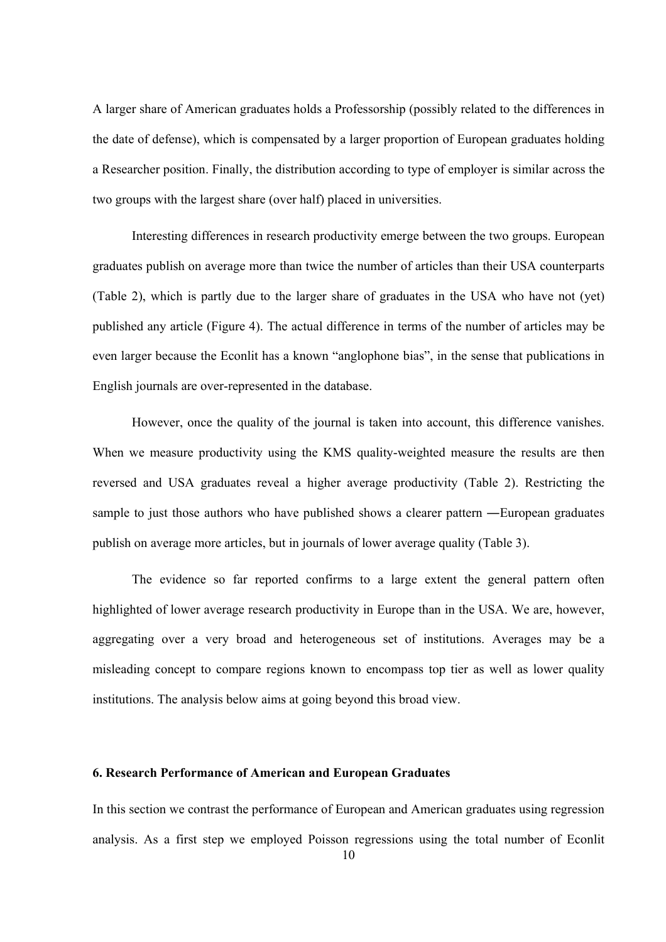A larger share of American graduates holds a Professorship (possibly related to the differences in the date of defense), which is compensated by a larger proportion of European graduates holding a Researcher position. Finally, the distribution according to type of employer is similar across the two groups with the largest share (over half) placed in universities.

 Interesting differences in research productivity emerge between the two groups. European graduates publish on average more than twice the number of articles than their USA counterparts (Table 2), which is partly due to the larger share of graduates in the USA who have not (yet) published any article (Figure 4). The actual difference in terms of the number of articles may be even larger because the Econlit has a known "anglophone bias", in the sense that publications in English journals are over-represented in the database.

 However, once the quality of the journal is taken into account, this difference vanishes. When we measure productivity using the KMS quality-weighted measure the results are then reversed and USA graduates reveal a higher average productivity (Table 2). Restricting the sample to just those authors who have published shows a clearer pattern —European graduates publish on average more articles, but in journals of lower average quality (Table 3).

 The evidence so far reported confirms to a large extent the general pattern often highlighted of lower average research productivity in Europe than in the USA. We are, however, aggregating over a very broad and heterogeneous set of institutions. Averages may be a misleading concept to compare regions known to encompass top tier as well as lower quality institutions. The analysis below aims at going beyond this broad view.

#### **6. Research Performance of American and European Graduates**

In this section we contrast the performance of European and American graduates using regression analysis. As a first step we employed Poisson regressions using the total number of Econlit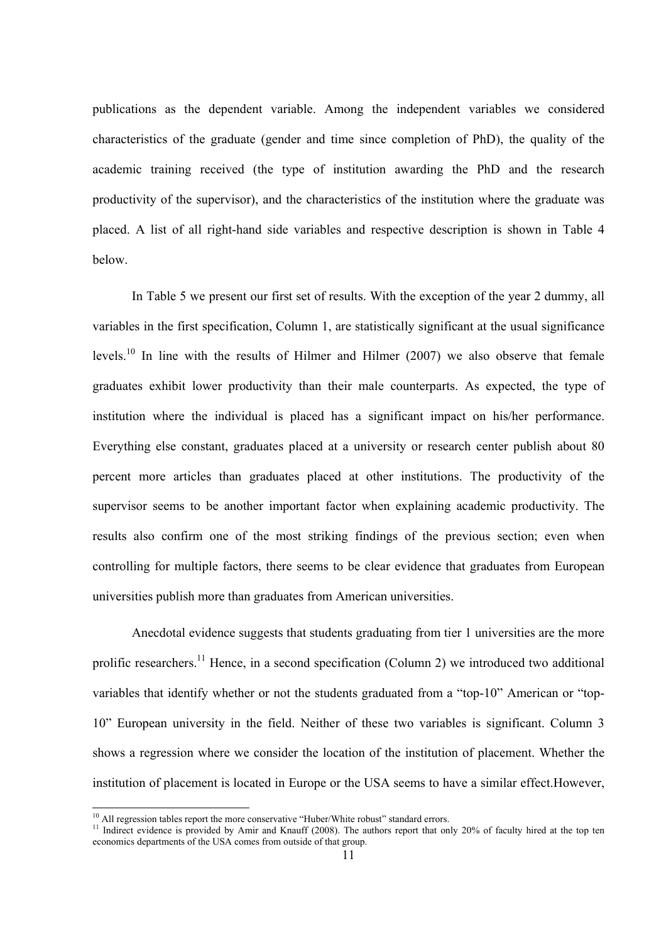publications as the dependent variable. Among the independent variables we considered characteristics of the graduate (gender and time since completion of PhD), the quality of the academic training received (the type of institution awarding the PhD and the research productivity of the supervisor), and the characteristics of the institution where the graduate was placed. A list of all right-hand side variables and respective description is shown in Table 4 below.

 In Table 5 we present our first set of results. With the exception of the year 2 dummy, all variables in the first specification, Column 1, are statistically significant at the usual significance levels.<sup>10</sup> In line with the results of Hilmer and Hilmer (2007) we also observe that female graduates exhibit lower productivity than their male counterparts. As expected, the type of institution where the individual is placed has a significant impact on his/her performance. Everything else constant, graduates placed at a university or research center publish about 80 percent more articles than graduates placed at other institutions. The productivity of the supervisor seems to be another important factor when explaining academic productivity. The results also confirm one of the most striking findings of the previous section; even when controlling for multiple factors, there seems to be clear evidence that graduates from European universities publish more than graduates from American universities.

 Anecdotal evidence suggests that students graduating from tier 1 universities are the more prolific researchers.<sup>11</sup> Hence, in a second specification (Column 2) we introduced two additional variables that identify whether or not the students graduated from a "top-10" American or "top-10" European university in the field. Neither of these two variables is significant. Column 3 shows a regression where we consider the location of the institution of placement. Whether the institution of placement is located in Europe or the USA seems to have a similar effect.However,

l

<sup>&</sup>lt;sup>10</sup> All regression tables report the more conservative "Huber/White robust" standard errors.

<sup>&</sup>lt;sup>11</sup> Indirect evidence is provided by Amir and Knauff (2008). The authors report that only 20% of faculty hired at the top ten economics departments of the USA comes from outside of that group.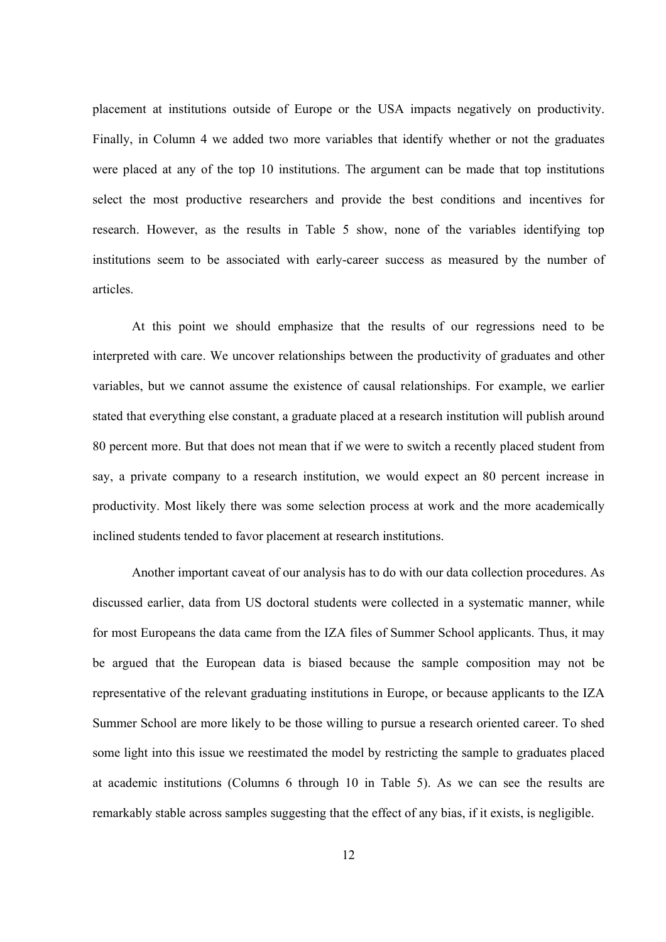placement at institutions outside of Europe or the USA impacts negatively on productivity. Finally, in Column 4 we added two more variables that identify whether or not the graduates were placed at any of the top 10 institutions. The argument can be made that top institutions select the most productive researchers and provide the best conditions and incentives for research. However, as the results in Table 5 show, none of the variables identifying top institutions seem to be associated with early-career success as measured by the number of articles.

 At this point we should emphasize that the results of our regressions need to be interpreted with care. We uncover relationships between the productivity of graduates and other variables, but we cannot assume the existence of causal relationships. For example, we earlier stated that everything else constant, a graduate placed at a research institution will publish around 80 percent more. But that does not mean that if we were to switch a recently placed student from say, a private company to a research institution, we would expect an 80 percent increase in productivity. Most likely there was some selection process at work and the more academically inclined students tended to favor placement at research institutions.

 Another important caveat of our analysis has to do with our data collection procedures. As discussed earlier, data from US doctoral students were collected in a systematic manner, while for most Europeans the data came from the IZA files of Summer School applicants. Thus, it may be argued that the European data is biased because the sample composition may not be representative of the relevant graduating institutions in Europe, or because applicants to the IZA Summer School are more likely to be those willing to pursue a research oriented career. To shed some light into this issue we reestimated the model by restricting the sample to graduates placed at academic institutions (Columns 6 through 10 in Table 5). As we can see the results are remarkably stable across samples suggesting that the effect of any bias, if it exists, is negligible.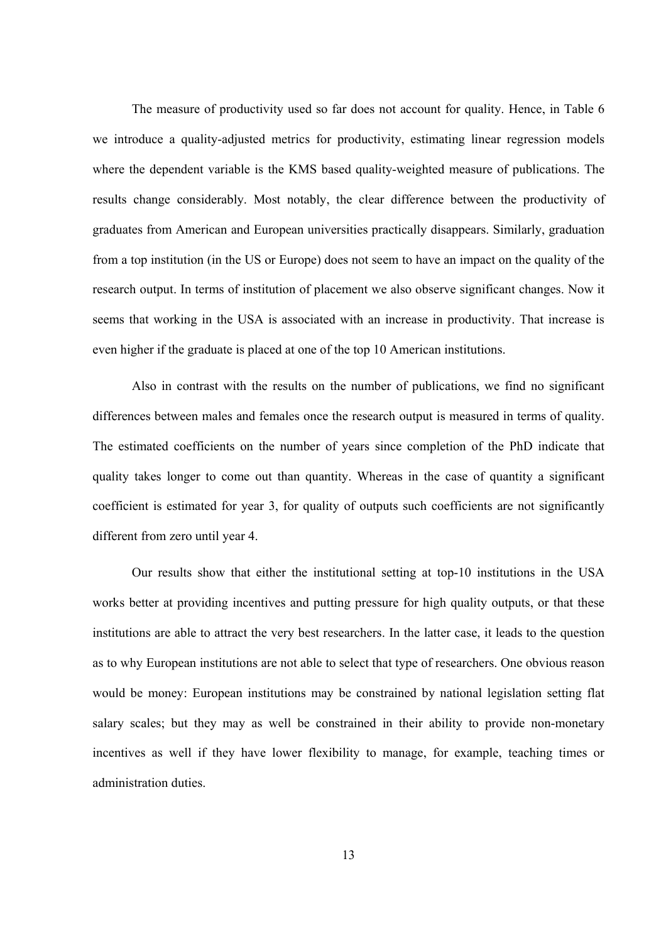The measure of productivity used so far does not account for quality. Hence, in Table 6 we introduce a quality-adjusted metrics for productivity, estimating linear regression models where the dependent variable is the KMS based quality-weighted measure of publications. The results change considerably. Most notably, the clear difference between the productivity of graduates from American and European universities practically disappears. Similarly, graduation from a top institution (in the US or Europe) does not seem to have an impact on the quality of the research output. In terms of institution of placement we also observe significant changes. Now it seems that working in the USA is associated with an increase in productivity. That increase is even higher if the graduate is placed at one of the top 10 American institutions.

 Also in contrast with the results on the number of publications, we find no significant differences between males and females once the research output is measured in terms of quality. The estimated coefficients on the number of years since completion of the PhD indicate that quality takes longer to come out than quantity. Whereas in the case of quantity a significant coefficient is estimated for year 3, for quality of outputs such coefficients are not significantly different from zero until year 4.

 Our results show that either the institutional setting at top-10 institutions in the USA works better at providing incentives and putting pressure for high quality outputs, or that these institutions are able to attract the very best researchers. In the latter case, it leads to the question as to why European institutions are not able to select that type of researchers. One obvious reason would be money: European institutions may be constrained by national legislation setting flat salary scales; but they may as well be constrained in their ability to provide non-monetary incentives as well if they have lower flexibility to manage, for example, teaching times or administration duties.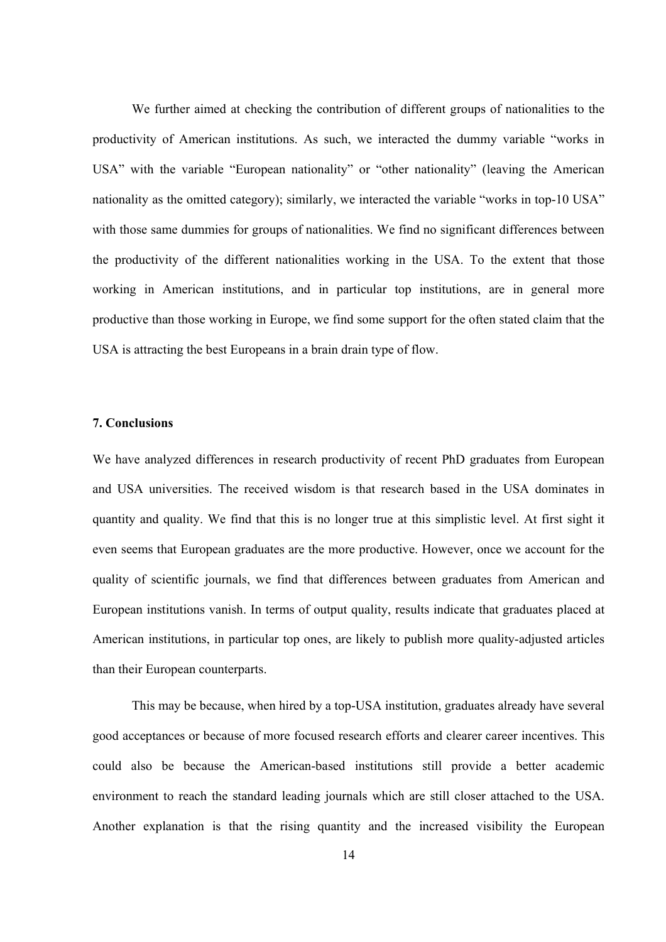We further aimed at checking the contribution of different groups of nationalities to the productivity of American institutions. As such, we interacted the dummy variable "works in USA" with the variable "European nationality" or "other nationality" (leaving the American nationality as the omitted category); similarly, we interacted the variable "works in top-10 USA" with those same dummies for groups of nationalities. We find no significant differences between the productivity of the different nationalities working in the USA. To the extent that those working in American institutions, and in particular top institutions, are in general more productive than those working in Europe, we find some support for the often stated claim that the USA is attracting the best Europeans in a brain drain type of flow.

## **7. Conclusions**

We have analyzed differences in research productivity of recent PhD graduates from European and USA universities. The received wisdom is that research based in the USA dominates in quantity and quality. We find that this is no longer true at this simplistic level. At first sight it even seems that European graduates are the more productive. However, once we account for the quality of scientific journals, we find that differences between graduates from American and European institutions vanish. In terms of output quality, results indicate that graduates placed at American institutions, in particular top ones, are likely to publish more quality-adjusted articles than their European counterparts.

 This may be because, when hired by a top-USA institution, graduates already have several good acceptances or because of more focused research efforts and clearer career incentives. This could also be because the American-based institutions still provide a better academic environment to reach the standard leading journals which are still closer attached to the USA. Another explanation is that the rising quantity and the increased visibility the European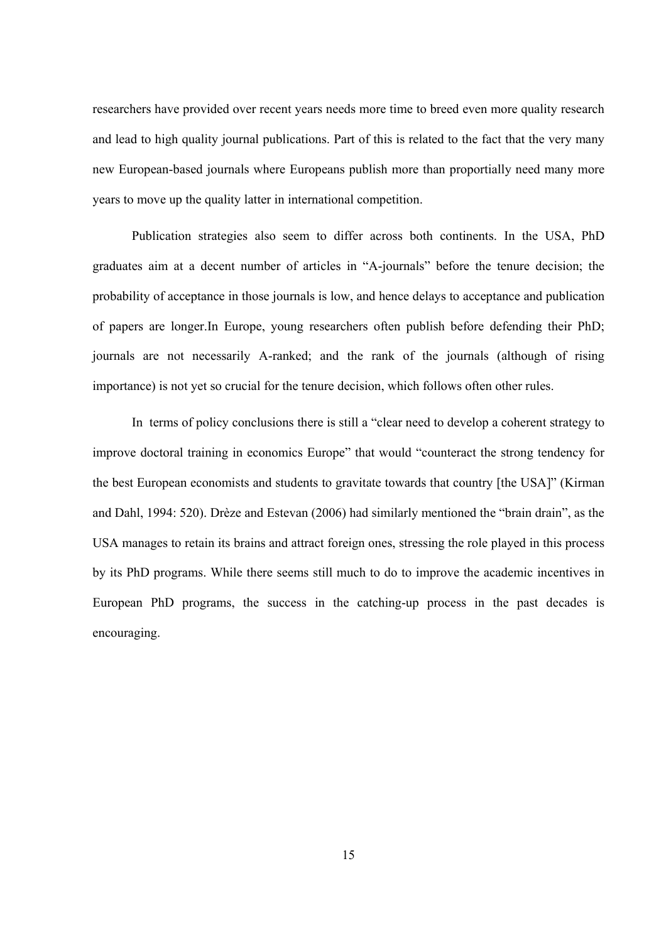researchers have provided over recent years needs more time to breed even more quality research and lead to high quality journal publications. Part of this is related to the fact that the very many new European-based journals where Europeans publish more than proportially need many more years to move up the quality latter in international competition.

 Publication strategies also seem to differ across both continents. In the USA, PhD graduates aim at a decent number of articles in "A-journals" before the tenure decision; the probability of acceptance in those journals is low, and hence delays to acceptance and publication of papers are longer.In Europe, young researchers often publish before defending their PhD; journals are not necessarily A-ranked; and the rank of the journals (although of rising importance) is not yet so crucial for the tenure decision, which follows often other rules.

 In terms of policy conclusions there is still a "clear need to develop a coherent strategy to improve doctoral training in economics Europe" that would "counteract the strong tendency for the best European economists and students to gravitate towards that country [the USA]" (Kirman and Dahl, 1994: 520). Drèze and Estevan (2006) had similarly mentioned the "brain drain", as the USA manages to retain its brains and attract foreign ones, stressing the role played in this process by its PhD programs. While there seems still much to do to improve the academic incentives in European PhD programs, the success in the catching-up process in the past decades is encouraging.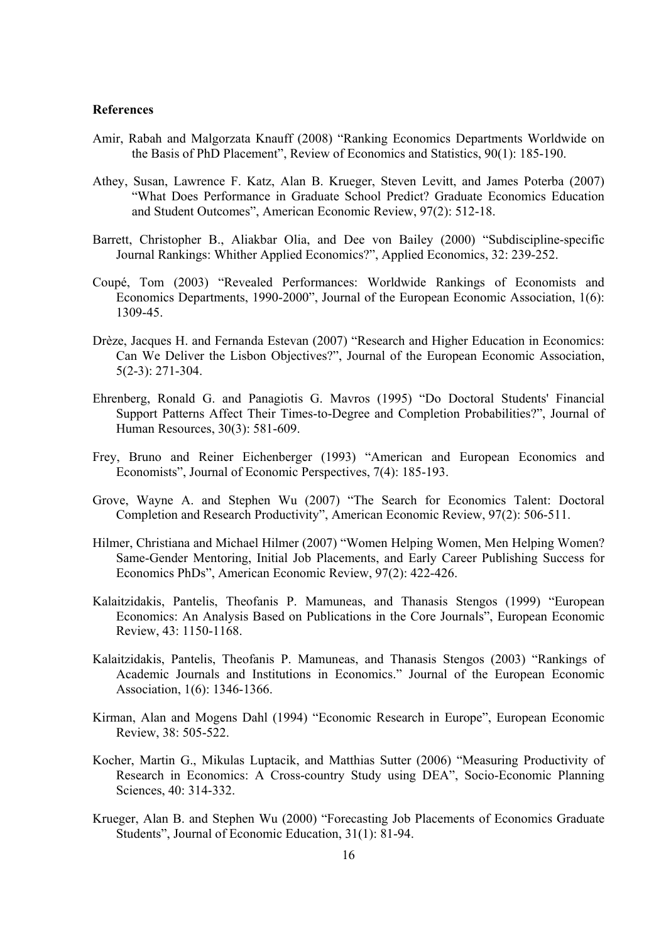#### **References**

- Amir, Rabah and Malgorzata Knauff (2008) "Ranking Economics Departments Worldwide on the Basis of PhD Placement", Review of Economics and Statistics, 90(1): 185-190.
- Athey, Susan, Lawrence F. Katz, Alan B. Krueger, Steven Levitt, and James Poterba (2007) "What Does Performance in Graduate School Predict? Graduate Economics Education and Student Outcomes", American Economic Review, 97(2): 512-18.
- Barrett, Christopher B., Aliakbar Olia, and Dee von Bailey (2000) "Subdiscipline-specific Journal Rankings: Whither Applied Economics?", Applied Economics, 32: 239-252.
- Coupé, Tom (2003) "Revealed Performances: Worldwide Rankings of Economists and Economics Departments, 1990-2000", Journal of the European Economic Association, 1(6): 1309-45.
- Drèze, Jacques H. and Fernanda Estevan (2007) "Research and Higher Education in Economics: Can We Deliver the Lisbon Objectives?", Journal of the European Economic Association, 5(2-3): 271-304.
- Ehrenberg, Ronald G. and Panagiotis G. Mavros (1995) "Do Doctoral Students' Financial Support Patterns Affect Their Times-to-Degree and Completion Probabilities?", Journal of Human Resources, 30(3): 581-609.
- Frey, Bruno and Reiner Eichenberger (1993) "American and European Economics and Economists", Journal of Economic Perspectives, 7(4): 185-193.
- Grove, Wayne A. and Stephen Wu (2007) "The Search for Economics Talent: Doctoral Completion and Research Productivity", American Economic Review, 97(2): 506-511.
- Hilmer, Christiana and Michael Hilmer (2007) "Women Helping Women, Men Helping Women? Same-Gender Mentoring, Initial Job Placements, and Early Career Publishing Success for Economics PhDs", American Economic Review, 97(2): 422-426.
- Kalaitzidakis, Pantelis, Theofanis P. Mamuneas, and Thanasis Stengos (1999) "European Economics: An Analysis Based on Publications in the Core Journals", European Economic Review, 43: 1150-1168.
- Kalaitzidakis, Pantelis, Theofanis P. Mamuneas, and Thanasis Stengos (2003) "Rankings of Academic Journals and Institutions in Economics." Journal of the European Economic Association, 1(6): 1346-1366.
- Kirman, Alan and Mogens Dahl (1994) "Economic Research in Europe", European Economic Review, 38: 505-522.
- Kocher, Martin G., Mikulas Luptacik, and Matthias Sutter (2006) "Measuring Productivity of Research in Economics: A Cross-country Study using DEA", Socio-Economic Planning Sciences, 40: 314-332.
- Krueger, Alan B. and Stephen Wu (2000) "Forecasting Job Placements of Economics Graduate Students", Journal of Economic Education, 31(1): 81-94.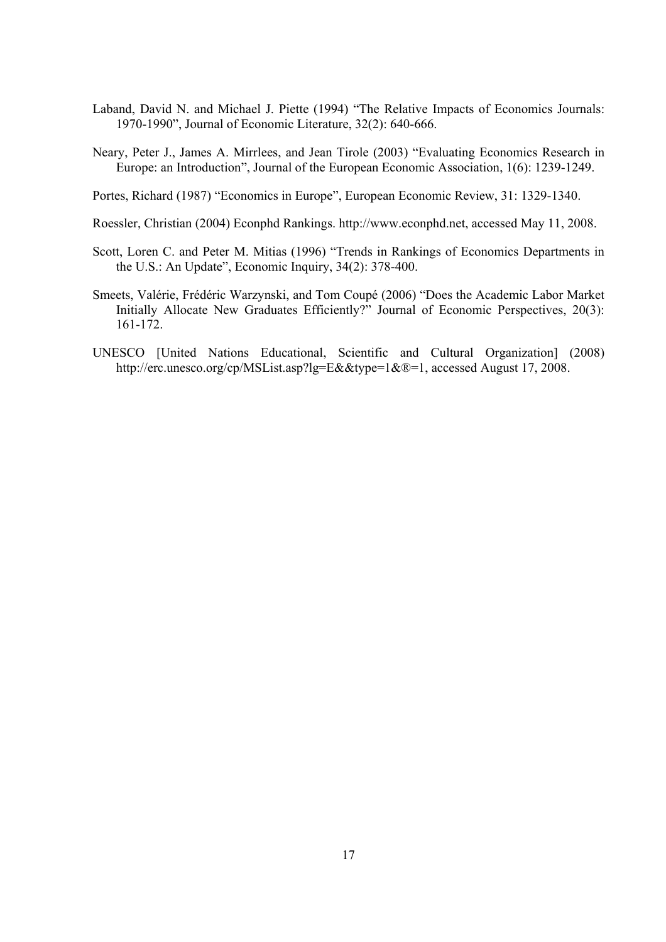- Laband, David N. and Michael J. Piette (1994) "The Relative Impacts of Economics Journals: 1970-1990", Journal of Economic Literature, 32(2): 640-666.
- Neary, Peter J., James A. Mirrlees, and Jean Tirole (2003) "Evaluating Economics Research in Europe: an Introduction", Journal of the European Economic Association, 1(6): 1239-1249.

Portes, Richard (1987) "Economics in Europe", European Economic Review, 31: 1329-1340.

- Roessler, Christian (2004) Econphd Rankings. http://www.econphd.net, accessed May 11, 2008.
- Scott, Loren C. and Peter M. Mitias (1996) "Trends in Rankings of Economics Departments in the U.S.: An Update", Economic Inquiry, 34(2): 378-400.
- Smeets, Valérie, Frédéric Warzynski, and Tom Coupé (2006) "Does the Academic Labor Market Initially Allocate New Graduates Efficiently?" Journal of Economic Perspectives, 20(3): 161-172.
- UNESCO [United Nations Educational, Scientific and Cultural Organization] (2008) http://erc.unesco.org/cp/MSList.asp?lg=E&&type=1&®=1, accessed August 17, 2008.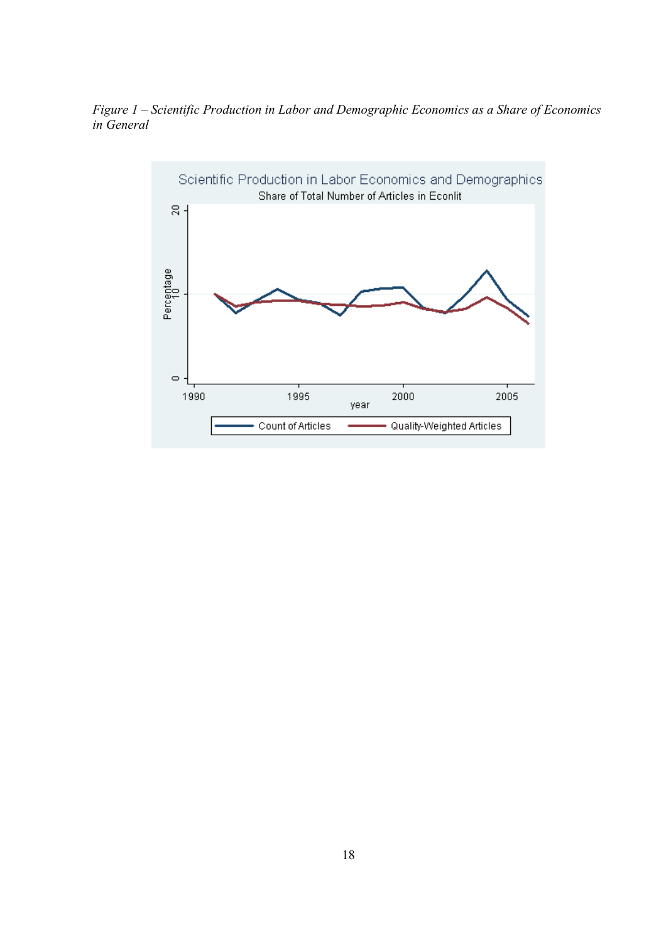

*Figure 1 – Scientific Production in Labor and Demographic Economics as a Share of Economics in General*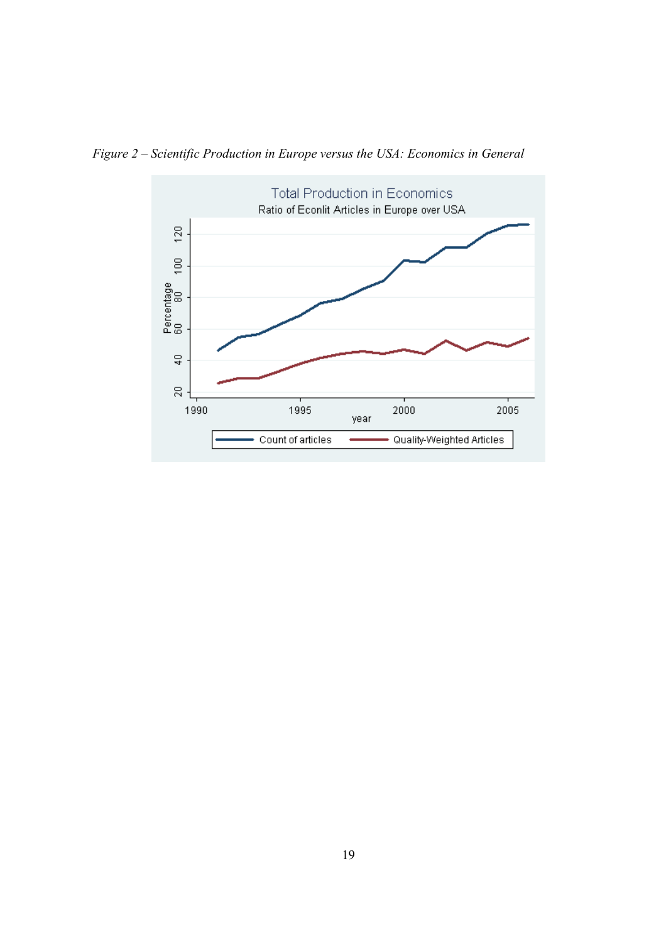*Figure 2 – Scientific Production in Europe versus the USA: Economics in General* 

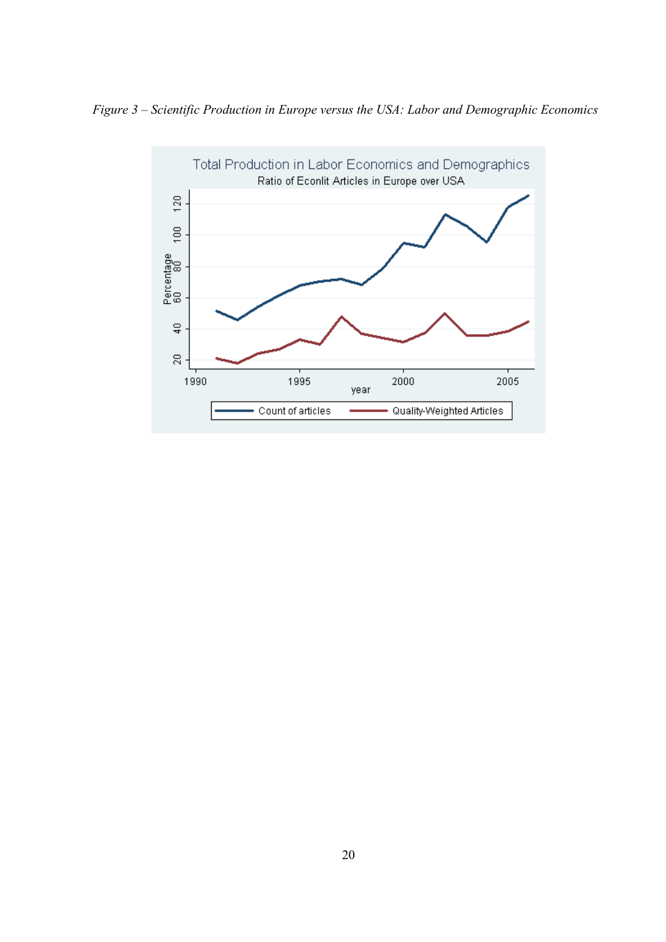

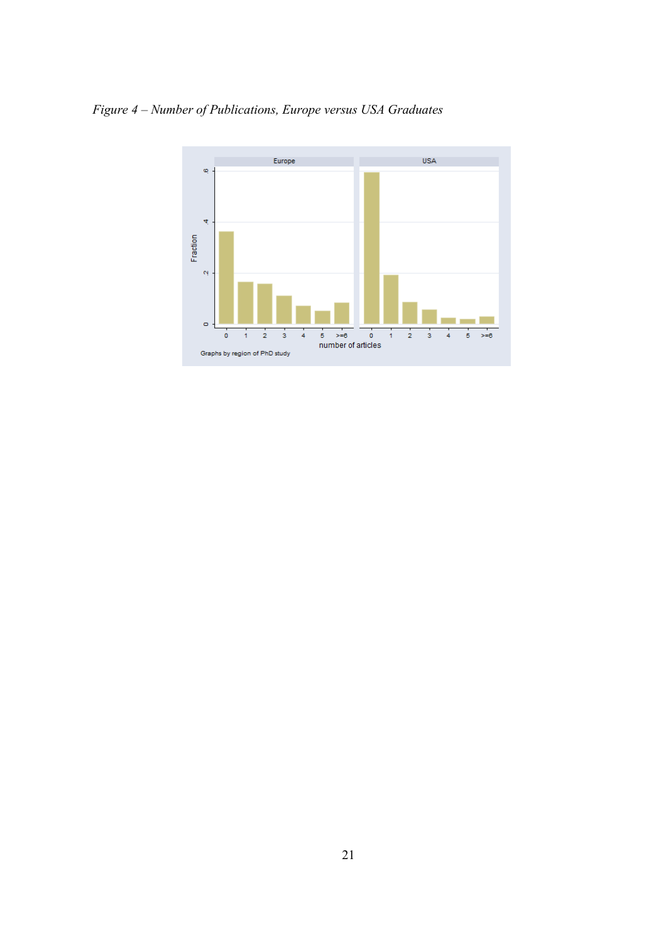

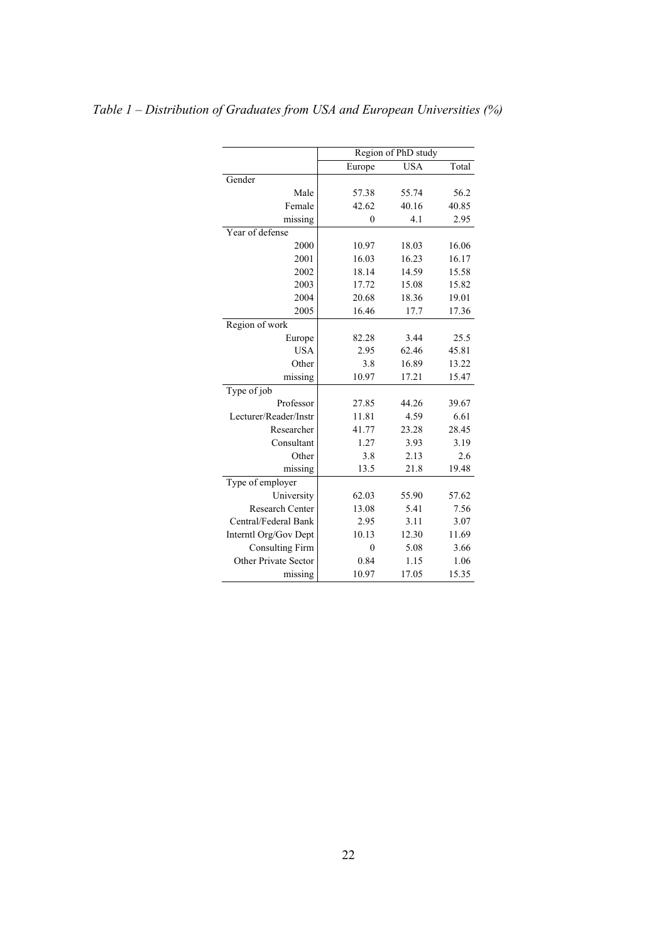|                             | Region of PhD study |            |       |  |  |  |
|-----------------------------|---------------------|------------|-------|--|--|--|
|                             | Europe              | <b>USA</b> | Total |  |  |  |
| Gender                      |                     |            |       |  |  |  |
| Male                        | 57.38               | 55.74      | 56.2  |  |  |  |
| Female                      | 42.62               | 40.16      | 40.85 |  |  |  |
| missing                     | $\theta$            | 4.1        | 2.95  |  |  |  |
| Year of defense             |                     |            |       |  |  |  |
| 2000                        | 10.97               | 18.03      | 16.06 |  |  |  |
| 2001                        | 16.03               | 16.23      | 16.17 |  |  |  |
| 2002                        | 18.14               | 14.59      | 15.58 |  |  |  |
| 2003                        | 17.72               | 15.08      | 15.82 |  |  |  |
| 2004                        | 20.68               | 18.36      | 19.01 |  |  |  |
| 2005                        | 16.46               | 17.7       | 17.36 |  |  |  |
| Region of work              |                     |            |       |  |  |  |
| Europe                      | 82.28               | 3.44       | 25.5  |  |  |  |
| <b>USA</b>                  | 2.95                | 62.46      | 45.81 |  |  |  |
| Other                       | 3.8                 | 16.89      | 13.22 |  |  |  |
| missing                     | 10.97               | 17.21      | 15.47 |  |  |  |
| Type of job                 |                     |            |       |  |  |  |
| Professor                   | 27.85               | 44.26      | 39.67 |  |  |  |
| Lecturer/Reader/Instr       | 11.81               | 4.59       | 6.61  |  |  |  |
| Researcher                  | 41.77               | 23.28      | 28.45 |  |  |  |
| Consultant                  | 1.27                | 3.93       | 3.19  |  |  |  |
| Other                       | 3.8                 | 2.13       | 2.6   |  |  |  |
| missing                     | 13.5                | 21.8       | 19.48 |  |  |  |
| Type of employer            |                     |            |       |  |  |  |
| University                  | 62.03               | 55.90      | 57.62 |  |  |  |
| <b>Research Center</b>      | 13.08               | 5.41       | 7.56  |  |  |  |
| Central/Federal Bank        | 2.95                | 3.11       | 3.07  |  |  |  |
| Interntl Org/Gov Dept       | 10.13               | 12.30      | 11.69 |  |  |  |
| <b>Consulting Firm</b>      | $\theta$            | 5.08       | 3.66  |  |  |  |
| <b>Other Private Sector</b> | 0.84                | 1.15       | 1.06  |  |  |  |
| missing                     | 10.97               | 17.05      | 15.35 |  |  |  |

*Table 1 – Distribution of Graduates from USA and European Universities (%)*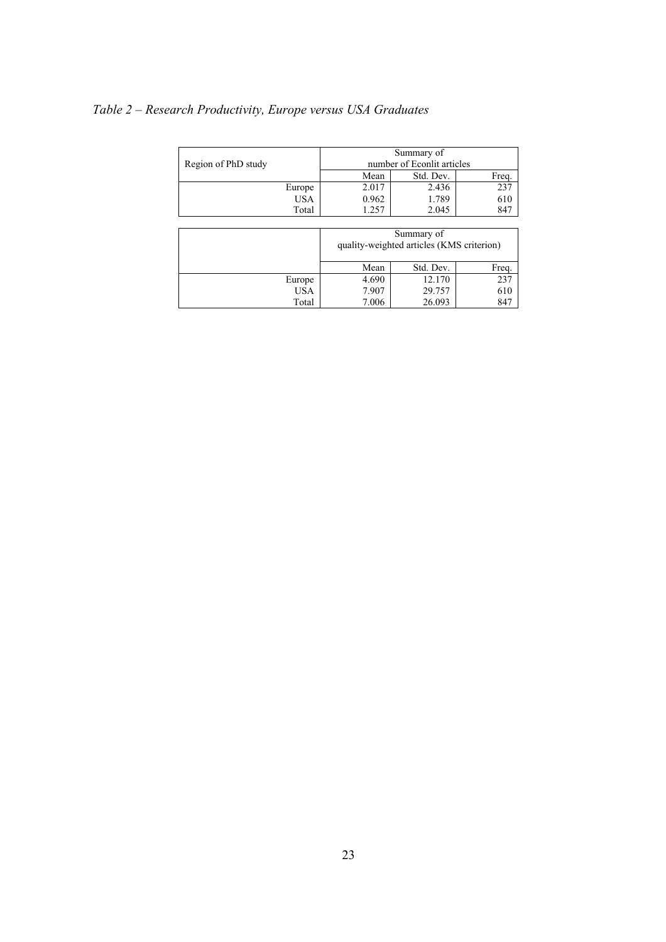# *Table 2 – Research Productivity, Europe versus USA Graduates*

|                     |                            | Summary of                                |       |  |  |  |
|---------------------|----------------------------|-------------------------------------------|-------|--|--|--|
| Region of PhD study | number of Econlit articles |                                           |       |  |  |  |
|                     | Mean                       | Std. Dev.                                 | Freq. |  |  |  |
| Europe              | 2.017                      | 2.436                                     | 237   |  |  |  |
| USA                 | 0.962                      | 1.789                                     | 610   |  |  |  |
| Total               | 1.257                      | 2.045                                     | 847   |  |  |  |
|                     |                            |                                           |       |  |  |  |
|                     |                            | Summary of                                |       |  |  |  |
|                     |                            | quality-weighted articles (KMS criterion) |       |  |  |  |
|                     |                            |                                           |       |  |  |  |
|                     | Mean                       | Std. Dev.                                 | Freq. |  |  |  |
| Europe              | 4.690                      | 12.170                                    | 237   |  |  |  |
| USA                 | 7.907                      | 29.757                                    | 610   |  |  |  |
| Total               | 7.006                      | 26.093                                    | 847   |  |  |  |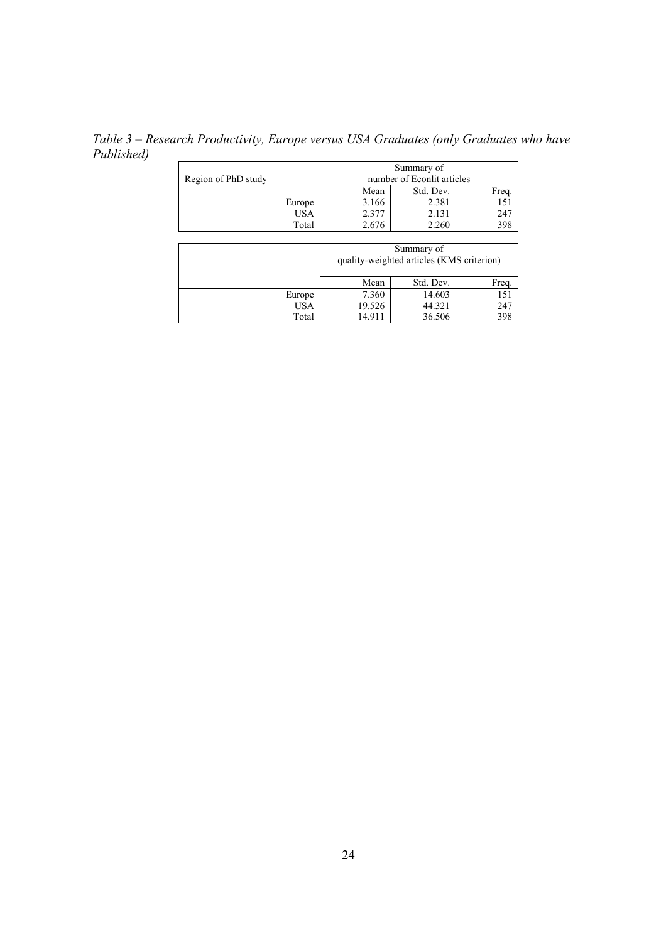*Table 3 – Research Productivity, Europe versus USA Graduates (only Graduates who have Published)* 

|                     | Summary of                 |                                           |       |  |  |  |
|---------------------|----------------------------|-------------------------------------------|-------|--|--|--|
| Region of PhD study | number of Econlit articles |                                           |       |  |  |  |
|                     | Mean                       | Std. Dev.                                 | Freq. |  |  |  |
| Europe              | 3.166                      | 2.381                                     | 151   |  |  |  |
| USA                 | 2.377                      | 2.131                                     | 247   |  |  |  |
| Total               | 2.676                      | 2.260                                     | 398   |  |  |  |
|                     |                            |                                           |       |  |  |  |
|                     |                            | Summary of                                |       |  |  |  |
|                     |                            | quality-weighted articles (KMS criterion) |       |  |  |  |
|                     |                            |                                           |       |  |  |  |
|                     | Mean                       | Std. Dev.                                 | Freq. |  |  |  |
| Europe              | 7.360                      | 14.603                                    | 151   |  |  |  |
| USA                 | 19.526                     | 44.321                                    | 247   |  |  |  |
| Total               | 14.911                     | 36.506                                    | 398   |  |  |  |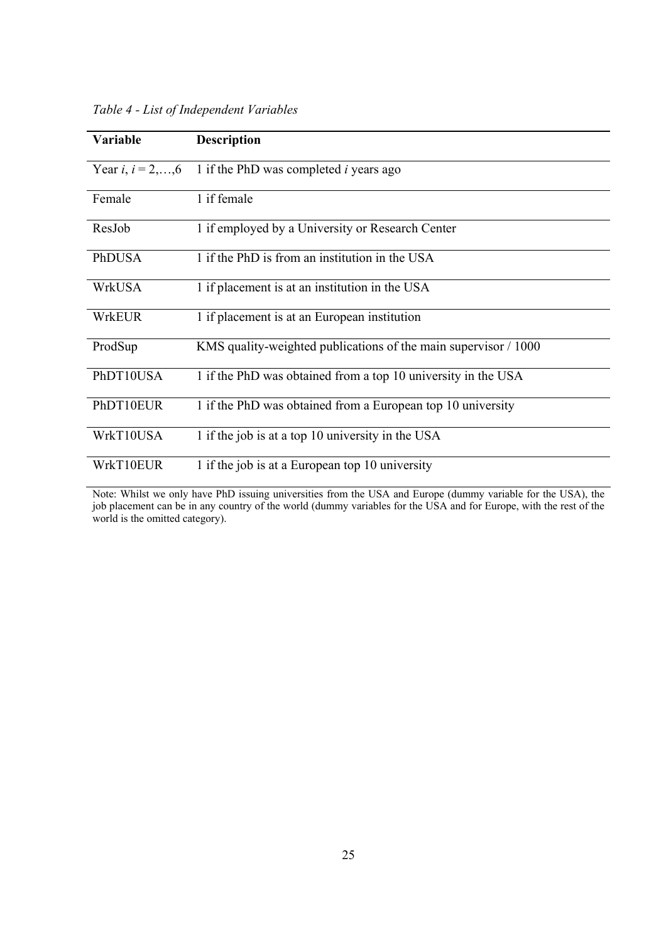| <b>Variable</b>            | <b>Description</b>                                              |
|----------------------------|-----------------------------------------------------------------|
| Year <i>i</i> , $i = 2,,6$ | 1 if the PhD was completed <i>i</i> years ago                   |
| Female                     | 1 if female                                                     |
| ResJob                     | 1 if employed by a University or Research Center                |
| PhDUSA                     | 1 if the PhD is from an institution in the USA                  |
| <b>WrkUSA</b>              | 1 if placement is at an institution in the USA                  |
| <b>WrkEUR</b>              | 1 if placement is at an European institution                    |
| ProdSup                    | KMS quality-weighted publications of the main supervisor / 1000 |
| PhDT10USA                  | 1 if the PhD was obtained from a top 10 university in the USA   |
| PhDT10EUR                  | 1 if the PhD was obtained from a European top 10 university     |
| WrkT10USA                  | 1 if the job is at a top 10 university in the USA               |
| WrkT10EUR                  | 1 if the job is at a European top 10 university                 |

*Table 4 - List of Independent Variables* 

Note: Whilst we only have PhD issuing universities from the USA and Europe (dummy variable for the USA), the job placement can be in any country of the world (dummy variables for the USA and for Europe, with the rest of the world is the omitted category).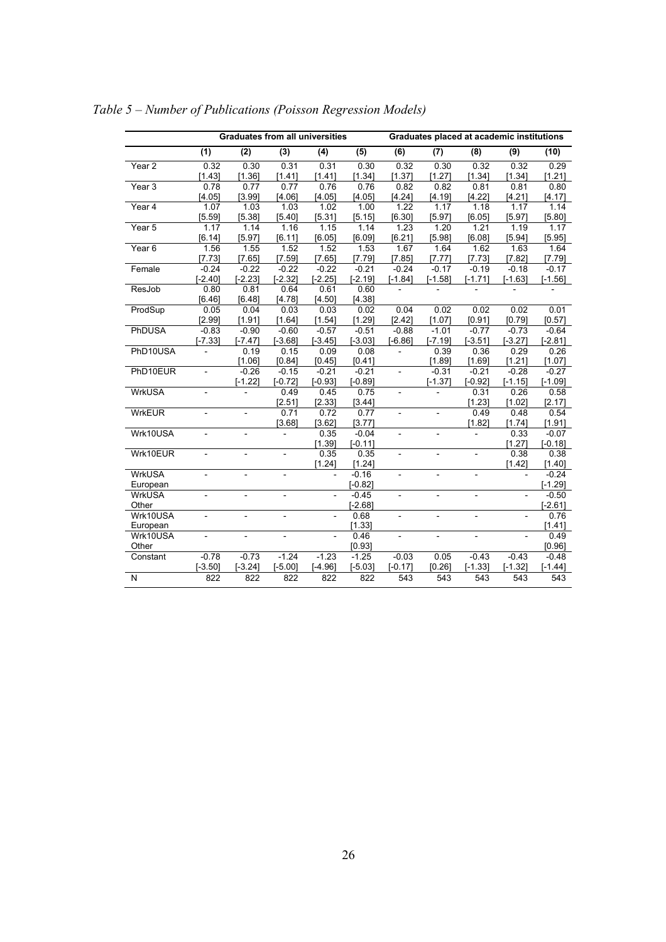|                      | <b>Graduates from all universities</b> |                          |                          |                  |                      |                          |                          | Graduates placed at academic institutions |                |                      |  |
|----------------------|----------------------------------------|--------------------------|--------------------------|------------------|----------------------|--------------------------|--------------------------|-------------------------------------------|----------------|----------------------|--|
|                      | (1)                                    | $\overline{(2)}$         | $\overline{3}$           | $\overline{(4)}$ | (5)                  | (6)                      | (7)                      | (8)                                       | (9)            | (10)                 |  |
| Year <sub>2</sub>    | 0.32                                   | 0.30                     | 0.31                     | 0.31             | 0.30                 | 0.32                     | 0.30                     | 0.32                                      | 0.32           | 0.29                 |  |
|                      | [1.43]                                 | [1.36]                   | [1.41]                   | [1.41]           | [1.34]               | [1.37]                   | [1.27]                   | [1.34]                                    | [1.34]         | [1.21]               |  |
| Year <sub>3</sub>    | 0.78                                   | 0.77                     | 0.77                     | 0.76             | 0.76                 | 0.82                     | 0.82                     | 0.81                                      | 0.81           | 0.80                 |  |
|                      | [4.05]                                 | [3.99]                   | [4.06]                   | [4.05]           | [4.05]               | [4.24]                   | [4.19]                   | [4.22]                                    | [4.21]         | [4.17]               |  |
| Year 4               | 1.07                                   | 1.03                     | 1.03                     | 1.02             | 1.00                 | 1.22                     | 1.17                     | 1.18                                      | 1.17           | 1.14                 |  |
|                      | [5.59]                                 | [5.38]                   | [5.40]                   | [5.31]           | [5.15]               | [6.30]                   | [5.97]                   | [6.05]                                    | [5.97]         | [5.80]               |  |
| Year 5               | 1.17                                   | 1.14                     | 1.16                     | 1.15             | 1.14                 | 1.23                     | 1.20                     | 1.21                                      | 1.19           | 1.17                 |  |
|                      | [6.14]                                 | [5.97]                   | [6.11]                   | [6.05]           | [6.09]               | [6.21]                   | [5.98]                   | [6.08]                                    | [5.94]         | [5.95]               |  |
| Year 6               | 1.56                                   | 1.55                     | 1.52                     | 1.52             | 1.53                 | 1.67                     | 1.64                     | 1.62                                      | 1.63           | 1.64                 |  |
|                      | [7.73]                                 | [7.65]                   | [7.59]                   | [7.65]           | [7.79]               | [7.85]                   | [7.77]                   | [7.73]                                    | [7.82]         | [7.79]               |  |
| Female               | $-0.24$                                | $-0.22$                  | $-0.22$                  | $-0.22$          | $-0.21$              | $-0.24$                  | $-0.17$                  | $-0.19$                                   | $-0.18$        | $-0.17$              |  |
|                      | $[-2.40]$                              | $[-2.23]$                | $[-2.32]$                | $[-2.25]$        | $[-2.19]$            | $[-1.84]$                | $[-1.58]$                | $[-1.71]$                                 | $[-1.63]$      | $[-1.56]$            |  |
| ResJob               | 0.80                                   | 0.81                     | 0.64                     | 0.61             | 0.60                 | $\overline{a}$           |                          |                                           | $\overline{a}$ |                      |  |
|                      | [6.46]                                 | [6.48]                   | [4.78]                   | [4.50]           | [4.38]               |                          |                          |                                           |                |                      |  |
| ProdSup              | 0.05                                   | 0.04                     | 0.03                     | 0.03             | 0.02                 | 0.04                     | 0.02                     | 0.02                                      | 0.02           | 0.01                 |  |
|                      | [2.99]                                 | [1.91]                   | [1.64]                   | [1.54]           | [1.29]               | [2.42]                   | [1.07]                   | [0.91]                                    | [0.79]         | [0.57]               |  |
| PhDUSA               | $-0.83$                                | $-0.90$                  | $-0.60$                  | $-0.57$          | $-0.51$              | $-0.88$                  | $-1.01$                  | $-0.77$                                   | $-0.73$        | $-0.64$              |  |
|                      | $[-7.33]$                              | $[-7.47]$                | $[-3.68]$                | $[-3.45]$        | $[-3.03]$            | $[-6.86]$                | $[-7.19]$                | $[-3.51]$                                 | $[-3.27]$      | $[-2.81]$            |  |
| PhD10USA             | $\overline{a}$                         | 0.19                     | 0.15                     | 0.09             | 0.08                 | $\overline{\phantom{a}}$ | 0.39                     | 0.36                                      | 0.29           | 0.26                 |  |
|                      |                                        | [1.06]                   | [0.84]                   | [0.45]           | [0.41]               |                          | [1.89]                   | [1.69]                                    | [1.21]         | [1.07]               |  |
| PhD10EUR             |                                        | $-0.26$                  | $-0.15$                  | $-0.21$          | $-0.21$              | $\overline{a}$           | $-0.31$                  | $-0.21$                                   | $-0.28$        | $-0.27$              |  |
|                      |                                        | $[-1.22]$                | $[-0.72]$                | $[-0.93]$        | $[-0.89]$            |                          | $[-1.37]$                | $[-0.92]$                                 | $[-1.15]$      | $[-1.09]$            |  |
| <b>WrkUSA</b>        |                                        |                          | 0.49                     | 0.45             | 0.75                 | $\overline{\phantom{a}}$ |                          | 0.31                                      | 0.26           | 0.58                 |  |
|                      |                                        |                          | [2.51]                   | [2.33]           | [3.44]               |                          |                          | [1.23]                                    | [1.02]         | [2.17]               |  |
| <b>WrkEUR</b>        |                                        | $\overline{a}$           | 0.71                     | 0.72             | 0.77                 | $\blacksquare$           | $\overline{a}$           | 0.49                                      | 0.48           | 0.54                 |  |
|                      |                                        |                          | [3.68]                   | [3.62]           | [3.77]               |                          |                          | [1.82]                                    | [1.74]         | [1.91]               |  |
| Wrk10USA             |                                        | $\overline{\phantom{a}}$ | $\overline{a}$           | 0.35             | $-0.04$              | $\overline{\phantom{a}}$ |                          | $\overline{a}$                            | 0.33           | $-0.07$              |  |
|                      |                                        |                          |                          | [1.39]           | $[-0.11]$            |                          |                          |                                           | [1.27]         | $[-0.18]$            |  |
| Wrk10EUR             |                                        | $\overline{a}$           |                          | 0.35             | 0.35                 | $\overline{a}$           | $\overline{a}$           |                                           | 0.38           | 0.38                 |  |
| <b>WrkUSA</b>        |                                        |                          |                          | [1.24]           | [1.24]               |                          |                          |                                           | [1.42]         | [1.40]               |  |
|                      |                                        |                          |                          |                  | $-0.16$              |                          |                          |                                           |                | $-0.24$              |  |
| European             |                                        |                          |                          |                  | $[-0.82]$<br>$-0.45$ |                          |                          |                                           |                | $[-1.29]$<br>$-0.50$ |  |
| <b>WrkUSA</b>        |                                        | ÷                        | $\overline{\phantom{a}}$ |                  | $[-2.68]$            | $\overline{\phantom{a}}$ | $\overline{\phantom{m}}$ | $\overline{\phantom{a}}$                  |                | $[-2.61]$            |  |
| Other<br>Wrk10USA    |                                        | $\overline{a}$           |                          |                  | 0.68                 | $\overline{a}$           |                          |                                           |                | 0.76                 |  |
|                      |                                        |                          |                          |                  |                      |                          |                          |                                           |                | [1.41]               |  |
| European<br>Wrk10USA |                                        |                          |                          |                  | [1.33]<br>0.46       |                          |                          |                                           |                | 0.49                 |  |
|                      |                                        |                          |                          |                  |                      |                          |                          |                                           |                |                      |  |
| Other<br>Constant    | $-0.78$                                | $-0.73$                  | $-1.24$                  | $-1.23$          | [0.93]<br>$-1.25$    | $-0.03$                  | 0.05                     | $-0.43$                                   | $-0.43$        | [0.96]<br>$-0.48$    |  |
|                      | $[-3.50]$                              | $[-3.24]$                | $[-5.00]$                | $[-4.96]$        | $[-5.03]$            | $[-0.17]$                | [0.26]                   | $[-1.33]$                                 | $[-1.32]$      | $[-1.44]$            |  |
| $\overline{N}$       | 822                                    | 822                      | 822                      | 822              | 822                  | 543                      | 543                      | 543                                       | 543            | 543                  |  |
|                      |                                        |                          |                          |                  |                      |                          |                          |                                           |                |                      |  |

*Table 5 – Number of Publications (Poisson Regression Models)*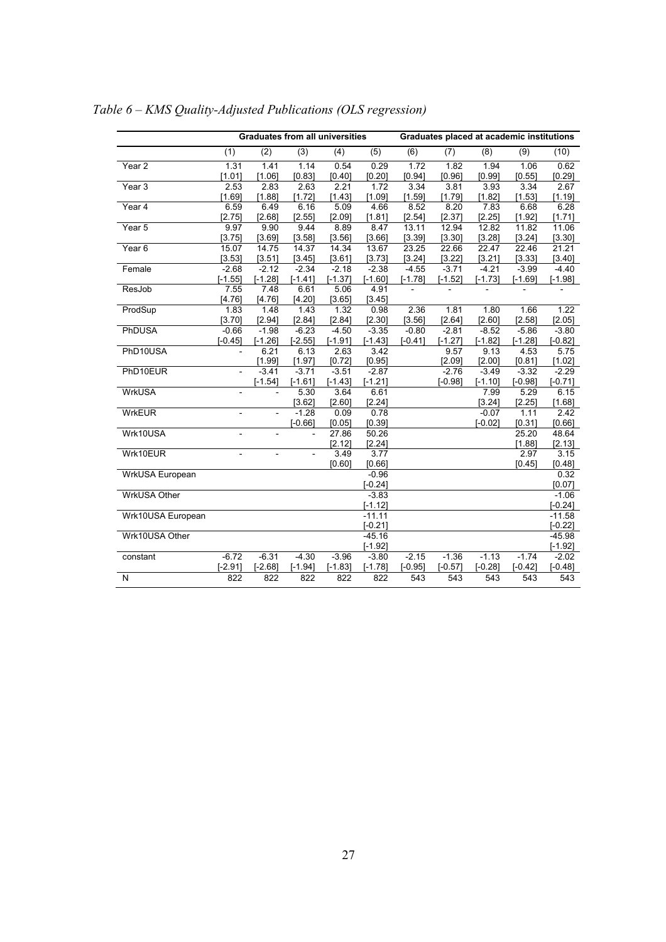|                     | <b>Graduates from all universities</b> |                              |                  |           |                  | Graduates placed at academic institutions |           |                  |                  |           |
|---------------------|----------------------------------------|------------------------------|------------------|-----------|------------------|-------------------------------------------|-----------|------------------|------------------|-----------|
|                     | (1)                                    | (2)                          | $\overline{(3)}$ | (4)       | $\overline{(5)}$ | (6)                                       | (7)       | $\overline{(8)}$ | $\overline{(9)}$ | (10)      |
| Year <sub>2</sub>   | 1.31                                   | 1.41                         | 1.14             | 0.54      | 0.29             | 1.72                                      | 1.82      | 1.94             | 1.06             | 0.62      |
|                     | [1.01]                                 | [1.06]                       | [0.83]           | [0.40]    | [0.20]           | [0.94]                                    | [0.96]    | [0.99]           | [0.55]           | [0.29]    |
| Year 3              | 2.53                                   | 2.83                         | 2.63             | 2.21      | 1.72             | 3.34                                      | 3.81      | 3.93             | 3.34             | 2.67      |
|                     | [1.69]                                 | [1.88]                       | [1.72]           | [1.43]    | [1.09]           | [1.59]                                    | [1.79]    | [1.82]           | [1.53]           | [1.19]    |
| Year 4              | 6.59                                   | 6.49                         | 6.16             | 5.09      | 4.66             | 8.52                                      | 8.20      | 7.83             | 6.68             | 6.28      |
|                     | [2.75]                                 | [2.68]                       | [2.55]           | [2.09]    | [1.81]           | [2.54]                                    | [2.37]    | [2.25]           | [1.92]           | [1.71]    |
| Year 5              | 9.97                                   | 9.90                         | 9.44             | 8.89      | 8.47             | 13.11                                     | 12.94     | 12.82            | 11.82            | 11.06     |
|                     | [3.75]                                 | [3.69]                       | [3.58]           | [3.56]    | [3.66]           | [3.39]                                    | [3.30]    | [3.28]           | [3.24]           | [3.30]    |
| Year <sub>6</sub>   | 15.07                                  | 14.75                        | 14.37            | 14.34     | 13.67            | 23.25                                     | 22.66     | 22.47            | 22.46            | 21.21     |
|                     | [3.53]                                 | [3.51]                       | [3.45]           | [3.61]    | [3.73]           | [3.24]                                    | [3.22]    | [3.21]           | [3.33]           | [3.40]    |
| Female              | $-2.68$                                | $-2.12$                      | $-2.34$          | $-2.18$   | $-2.38$          | $-4.55$                                   | $-3.71$   | $-4.21$          | $-3.99$          | $-4.40$   |
|                     | $[-1.55]$                              | $[-1.28]$                    | $[-1.41]$        | $[-1.37]$ | $[-1.60]$        | $[-1.78]$                                 | $[-1.52]$ | $[-1.73]$        | $[-1.69]$        | $[-1.98]$ |
| ResJob              | 7.55                                   | 7.48                         | 6.61             | 5.06      | 4.91             |                                           |           |                  |                  |           |
|                     | [4.76]                                 | [4.76]                       | [4.20]           | [3.65]    | [3.45]           |                                           |           |                  |                  |           |
| ProdSup             | 1.83                                   | 1.48                         | 1.43             | 1.32      | 0.98             | 2.36                                      | 1.81      | 1.80             | 1.66             | 1.22      |
|                     | [3.70]                                 | [2.94]                       | [2.84]           | [2.84]    | [2.30]           | [3.56]                                    | [2.64]    | [2.60]           | [2.58]           | [2.05]    |
| PhDUSA              | $-0.66$                                | $-1.98$                      | $-6.23$          | $-4.50$   | $-3.35$          | $-0.80$                                   | $-2.81$   | $-8.52$          | $-5.86$          | $-3.80$   |
|                     | $[-0.45]$                              | $[-1.26]$                    | $[-2.55]$        | $[-1.91]$ | $[-1.43]$        | $[-0.41]$                                 | $[-1.27]$ | $[-1.82]$        | $[-1.28]$        | $[-0.82]$ |
| PhD10USA            | $\overline{\phantom{a}}$               | 6.21                         | 6.13             | 2.63      | 3.42             |                                           | 9.57      | 9.13             | 4.53             | 5.75      |
|                     |                                        | [1.99]                       | [1.97]           | [0.72]    | [0.95]           |                                           | [2.09]    | [2.00]           | [0.81]           | [1.02]    |
| PhD10EUR            |                                        | $-3.41$                      | $-3.71$          | $-3.51$   | $-2.87$          |                                           | $-2.76$   | $-3.49$          | $-3.32$          | $-2.29$   |
|                     |                                        | $[-1.54]$                    | $[-1.61]$        | $[-1.43]$ | $[-1.21]$        |                                           | $[-0.98]$ | $[-1.10]$        | $[-0.98]$        | $[-0.71]$ |
| <b>WrkUSA</b>       | $\overline{a}$                         |                              | 5.30             | 3.64      | 6.61             |                                           |           | 7.99             | 5.29             | 6.15      |
|                     |                                        |                              | [3.62]           | [2.60]    | [2.24]           |                                           |           | [3.24]           | [2.25]           | [1.68]    |
| <b>WrkEUR</b>       | $\overline{a}$                         | $\blacksquare$               | $-1.28$          | 0.09      | 0.78             |                                           |           | $-0.07$          | 1.11             | 2.42      |
|                     |                                        |                              | $[-0.66]$        | [0.05]    | [0.39]           |                                           |           | $[-0.02]$        | [0.31]           | [0.66]    |
| Wrk10USA            |                                        |                              |                  | 27.86     | 50.26            |                                           |           |                  | 25.20            | 48.64     |
|                     |                                        |                              |                  | [2.12]    | [2.24]           |                                           |           |                  | [1.88]           | [2.13]    |
| Wrk10EUR            | $\overline{\phantom{a}}$               | $\qquad \qquad \blacksquare$ |                  | 3.49      | 3.77             |                                           |           |                  | 2.97             | 3.15      |
|                     |                                        |                              |                  | [0.60]    | [0.66]           |                                           |           |                  | [0.45]           | [0.48]    |
| WrkUSA European     |                                        |                              |                  |           | $-0.96$          |                                           |           |                  |                  | 0.32      |
|                     |                                        |                              |                  |           | $[-0.24]$        |                                           |           |                  |                  | [0.07]    |
| <b>WrkUSA Other</b> |                                        |                              |                  |           | $-3.83$          |                                           |           |                  |                  | $-1.06$   |
|                     |                                        |                              |                  |           | $[-1.12]$        |                                           |           |                  |                  | $[-0.24]$ |
| Wrk10USA European   |                                        |                              |                  |           | $-11.11$         |                                           |           |                  |                  | $-11.58$  |
|                     |                                        |                              |                  |           | $[-0.21]$        |                                           |           |                  |                  | $[-0.22]$ |
| Wrk10USA Other      |                                        |                              |                  |           | $-45.16$         |                                           |           |                  |                  | $-45.98$  |
|                     |                                        |                              |                  |           | $[-1.92]$        |                                           |           |                  |                  | $[-1.92]$ |
| constant            | $-6.72$                                | $-6.31$                      | $-4.30$          | $-3.96$   | $-3.80$          | $-2.15$                                   | $-1.36$   | $-1.13$          | $-1.74$          | $-2.02$   |
|                     | $[-2.91]$                              | $[-2.68]$                    | $[-1.94]$        | $[-1.83]$ | $[-1.78]$        | $[-0.95]$                                 | $[-0.57]$ | $[-0.28]$        | $[-0.42]$        | $[-0.48]$ |
| N                   | 822                                    | 822                          | 822              | 822       | 822              | 543                                       | 543       | 543              | 543              | 543       |

*Table 6 – KMS Quality-Adjusted Publications (OLS regression)*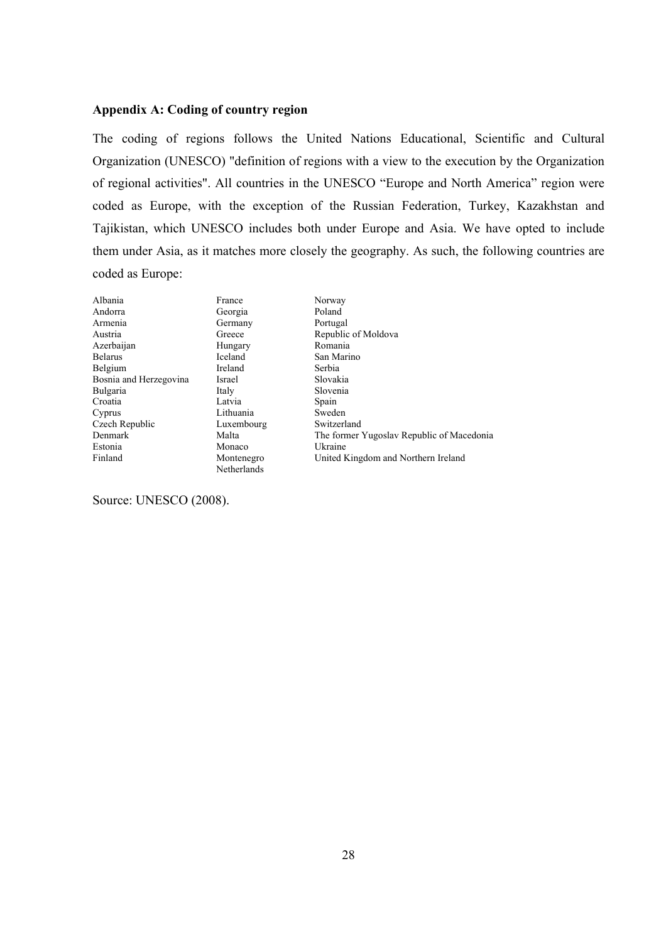### **Appendix A: Coding of country region**

The coding of regions follows the United Nations Educational, Scientific and Cultural Organization (UNESCO) "definition of regions with a view to the execution by the Organization of regional activities". All countries in the UNESCO "Europe and North America" region were coded as Europe, with the exception of the Russian Federation, Turkey, Kazakhstan and Tajikistan, which UNESCO includes both under Europe and Asia. We have opted to include them under Asia, as it matches more closely the geography. As such, the following countries are coded as Europe:

| France                    | Norway                                    |
|---------------------------|-------------------------------------------|
| Georgia                   | Poland                                    |
| Germany                   | Portugal                                  |
| Greece                    | Republic of Moldova                       |
| Hungary                   | Romania                                   |
| Iceland                   | San Marino                                |
| Ireland                   | Serbia                                    |
| Israel                    | Slovakia                                  |
| Italy                     | Slovenia                                  |
| Latvia                    | Spain                                     |
| Lithuania                 | Sweden                                    |
| Luxembourg                | Switzerland                               |
| Malta                     | The former Yugoslav Republic of Macedonia |
| Monaco                    | Ukraine                                   |
| Montenegro<br>Netherlands | United Kingdom and Northern Ireland       |
|                           |                                           |

Source: UNESCO (2008).